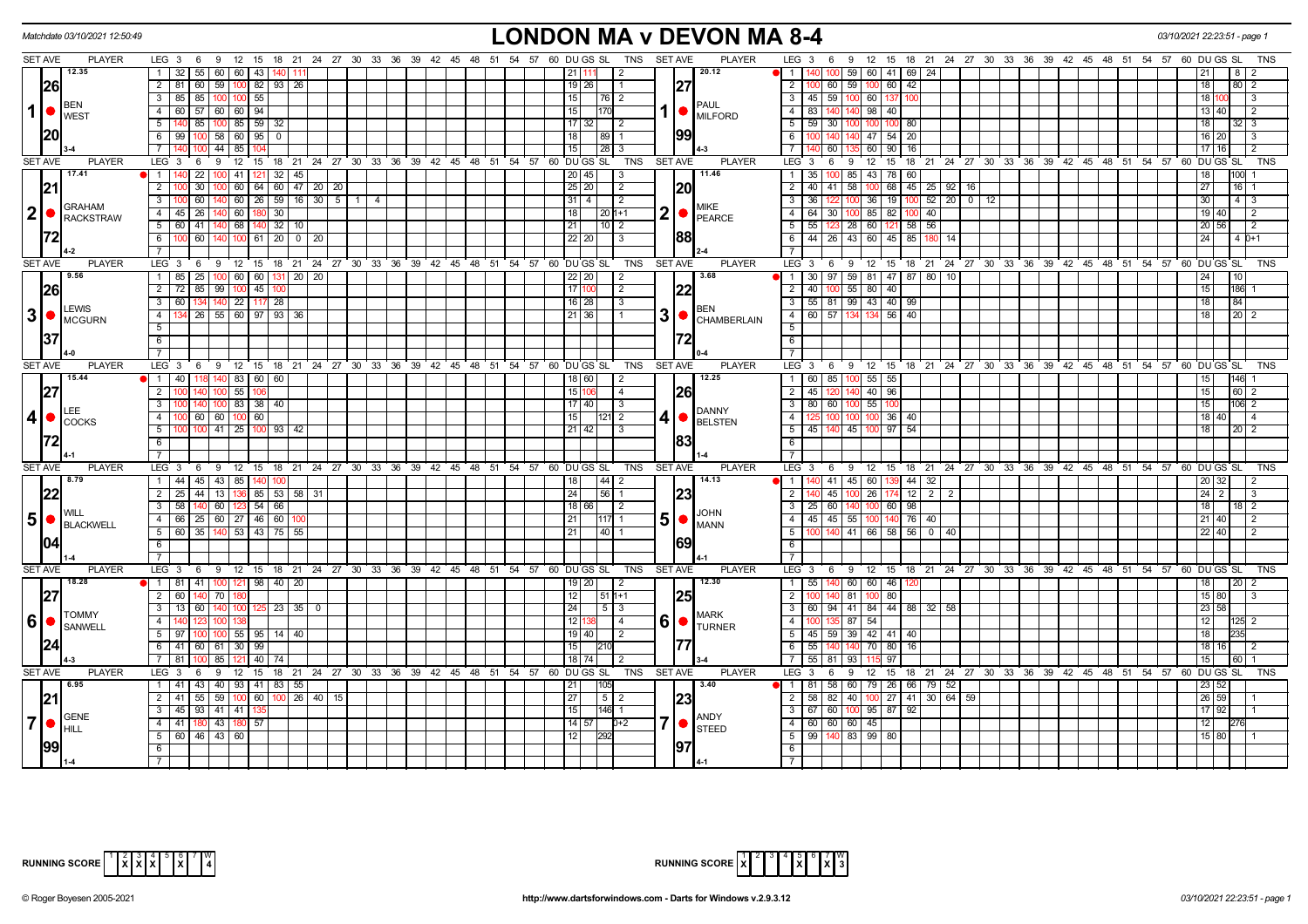| Matchdate 03/10/2021 12:50:49            |                                                                                                                                     | LONDON MA v DEVON MA 8-4                                                        |                                                                                                                                 | 03/10/2021 22:23:51 - page 1      |
|------------------------------------------|-------------------------------------------------------------------------------------------------------------------------------------|---------------------------------------------------------------------------------|---------------------------------------------------------------------------------------------------------------------------------|-----------------------------------|
| <b>SET AVE</b><br><b>PLAYER</b>          | LEG 3 6 9 12 15 18 21 24 27 30 33 36 39 42 45 48 51 54 57 60 DUGS SL                                                                | <b>SET AVE</b><br><b>PLAYER</b><br><b>TNS</b>                                   | LEG 3 6 9 12 15 18 21 24 27 30 33 36 39 42 45 48 51 54 57 60 DUGS SL                                                            |                                   |
| 12.35                                    | $55 \mid 60 \mid 60 \mid 43 \mid 140$<br>$1 \mid 32 \mid$                                                                           | 20.12<br>21   1<br>-2                                                           | 140 100 59 60 41 69 24<br>11                                                                                                    |                                   |
| 26                                       | 82   93   26<br>2 81<br>$60$ 59 100                                                                                                 | 27<br>19 26                                                                     | 59 100 60<br>$\overline{2}$<br>$100$ 60<br>42                                                                                   | 80 2<br>18                        |
| <b>BEN</b>                               | 85 100 100 55<br>$3 \mid 85 \mid$                                                                                                   | 15<br> 76 2<br><b>PAUL</b>                                                      | 3   45   59<br>100 60 137<br>100                                                                                                | 18 <sup>1</sup><br>$\mathsf{I}$ 3 |
| $\mathbf{1}$<br><b>WEST</b>              | 57   60   60   94<br>$4 \overline{60}$                                                                                              | $1  \bullet  _{\text{MILEORD}}$<br>15<br>170                                    | $\overline{4}$<br>83 140 140 98 40                                                                                              | 13 40<br>$\overline{2}$           |
|                                          | 140 85 100 85 59 32<br>$5$                                                                                                          | 17 32 <br>$\overline{12}$                                                       | $-5$<br>59 30 100 100 100<br>80                                                                                                 | 18<br>$32 \mid 3$                 |
| 20                                       | 6 99 100 58 60 95 0                                                                                                                 | 99<br> 18 <br> 89 1                                                             | 140 47 54 20<br>6<br>100 140                                                                                                    | 16 20                             |
|                                          | 711<br>$44$   85<br>100                                                                                                             | $\overline{15}$<br> 28 3                                                        | $\overline{7}$<br>$140$ 60<br>60 90<br>16                                                                                       | 17 16                             |
| <b>SET AVE</b><br><b>PLAYER</b>          | 9 12 15 18 21 24 27 30 33 36 39 42 45 48 51 54 57 60 DUGS SL<br>LEG 3<br>6                                                          | <b>TNS</b><br>SET AVE<br><b>PLAYER</b>                                          | LEG 3<br>9 12 15 18 21 24 27 30 33 36 39 42 45 48 51 54 57 60 DUGS SL<br>6                                                      | TNS                               |
| 17.41                                    | 22   100   41   121   32   45<br>$1 140$                                                                                            | 11.46<br> 20 45 <br>l 3                                                         | 35 100 85 43 78 60<br>$\overline{1}$                                                                                            | 100<br>18                         |
| 21                                       | $30   100   60   64   60   47   20   20$<br>2                                                                                       | 20 <br> 25 20 <br>$\sqrt{2}$                                                    | $45 \mid 25 \mid 92 \mid$<br>$\overline{2}$<br>40 41 58 100 68<br> 16                                                           | 27<br>$16$ 1                      |
| <b>GRAHAM</b>                            | $60 \mid 140 \mid 60 \mid 26 \mid 59 \mid 16 \mid 30 \mid 5 \mid 1$<br>$3 - 100$<br>4                                               | 31 4 <br>$\sqrt{2}$<br><b>MIKE</b>                                              | $100$ 52 20 0 12<br>3<br>36 122<br>100 36 19                                                                                    | 30 <sub>1</sub><br>$4 \mid 3$     |
| $ 2 $ $\bullet$ $ $ <sup>GRAMAM</sup>    | 4 45 26 140 60 180 30                                                                                                               | $\mathbf{2}$<br>18<br>$20 1+1$<br>PEARCE                                        | 64 30 100 85 82 100 40<br>$\overline{4}$                                                                                        | 19 40<br>$\overline{2}$           |
|                                          | $5 \mid 60 \mid$<br>41 140 68<br>$140$ 32 10                                                                                        | 21 <br>  10   2                                                                 | 55   123   28   60   121   58   56<br>5 <sup>1</sup>                                                                            | 20   56<br>$\mathbf{1}$           |
|                                          | 60   140   100<br>$6$ T<br>$61$   20   0   20                                                                                       | 88<br> 22 20 <br>3                                                              | 6   44   26   43   60   45  <br>85 180 14                                                                                       | 24 <sub>1</sub><br>$40+1$         |
|                                          |                                                                                                                                     |                                                                                 | $\overline{7}$                                                                                                                  | <b>TNS</b>                        |
| <b>SET AVE</b><br><b>PLAYER</b><br>19.56 | $9 \quad 12$<br>15 18 21 24 27 30 33 36 39 42 45 48 51 54 57 60 DUGS SL<br>LEG <sub>3</sub><br>6                                    | TNS<br>SET AVE<br><b>PLAYER</b><br>3.68                                         | $LEG_3$ 6<br>12 15 18 21 24 27 30 33 36 39 42 45 48 51 54 57 60 DUGS SL<br>9                                                    |                                   |
|                                          | 25   100   60   60   131   20   20<br>$1 \overline{85}$<br>$2 \mid 72$<br>85 99 100 45 10                                           | 22 20<br>  2<br>$\overline{17}$                                                 | 30   97   59   81   47   87   80   10<br>$\sqrt{1}$<br>40 100 55 80 40                                                          | 15<br>186                         |
| 26                                       | $3 \ 60$<br>134 140 22 117 28                                                                                                       | 22<br>l 2<br>$16$ 28<br>$\overline{\mathbf{3}}$                                 | $\overline{2}$<br>55 81 99 43 40 99<br>$\overline{\mathbf{3}}$                                                                  | 84                                |
| LEWIS                                    | $\overline{4}$<br>26 55 60 97 93 36                                                                                                 | <b>BEN</b><br>3 <sup>1</sup><br>21<br>36                                        | $-4$<br>60 57<br>56<br>40<br>134                                                                                                | 20 2                              |
| $3$ $\bullet$ $\frac{L_{EVIO}}{MCGURN}$  | 5 <sup>5</sup>                                                                                                                      | CHAMBERLAIN                                                                     | 5                                                                                                                               |                                   |
|                                          | 6                                                                                                                                   |                                                                                 | $\boxed{6}$                                                                                                                     |                                   |
|                                          | $7^{\circ}$                                                                                                                         |                                                                                 | $\overline{7}$                                                                                                                  |                                   |
| <b>SET AVE</b><br><b>PLAYER</b>          | LEG <sub>3</sub><br>6 9 12 15 18 21 24 27 30 33 36 39<br>42 45 48 51                                                                | <b>PLAYER</b><br>54 57 60 DU GS SL<br>TNS<br><b>SET AVE</b>                     | $LEG_3$ 6<br>9 12 15 18 21 24 27 30 33 36 39 42 45 48 51 54 57 60 DUGSSL                                                        | <b>TNS</b>                        |
| 15.44                                    | $140$   83   60   60<br>$1 \mid 40$                                                                                                 | 12.25<br>18   60<br>-2                                                          | $\overline{1}$<br>60   85  <br>$55$ 55<br>100                                                                                   |                                   |
| 27                                       | 2 <sup>1</sup><br>$100$ 55<br>140 I<br>106                                                                                          | <b>26</b><br>15<br>4                                                            | $\overline{2}$<br>$-45$   120<br>40 96<br>140                                                                                   | 15<br>60 2                        |
|                                          | 38 40<br>$\overline{3}$<br>140 100 83                                                                                               | 17 40<br>$\sqrt{3}$                                                             | $\overline{\phantom{a}3}$<br>$55$ 100<br>80 60<br>100                                                                           | $106$ 2                           |
| LEE<br> 4 <br><b>COCKS</b>               | 60 60 100 60<br>$4 \overline{100}$                                                                                                  | <b>DANNY</b><br>$4  \bullet  _{\text{BELSTEN}}$<br>15<br>121 2                  | $\overline{4}$<br>100 100 36<br>40                                                                                              | 18 40                             |
|                                          | $5 \overline{100}$<br>$100$ 41 25 100 93 42                                                                                         | 21   42 <br>3                                                                   | $\overline{5}$<br>45   140   45   100   97  <br>54                                                                              | $20\overline{2}$<br>18            |
| 72                                       | 6                                                                                                                                   | 83                                                                              | 6                                                                                                                               |                                   |
|                                          | $\overline{7}$                                                                                                                      |                                                                                 | $\overline{7}$                                                                                                                  |                                   |
| SET AVE<br><b>PLAYER</b>                 | LEG <sub>3</sub><br>6 9 12 15 18 21 24 27 30 33 36 39 42 45 48 51 54 57 60 DUGS SL                                                  | <b>TNS</b><br><b>SET AVE</b><br><b>PLAYER</b>                                   | LEG 3<br>9 12 15 18 21 24 27 30 33 36 39 42 45 48 51 54 57 60 DUGS SL<br>6                                                      | TNS                               |
| 18.79                                    | 1 44 45 43 85 140 100                                                                                                               | 14.13<br> 18 <br> 44 2                                                          | 1   140   41   45   60   139   44   32                                                                                          | 20 32                             |
| 22                                       | $2 \mid 25$<br>44 13 136<br>85   53   58  <br>31                                                                                    | 24 <br> 56 1<br>23                                                              | 12<br>$\overline{2}$<br>140 45<br>261<br>$2 \mid 2$<br>100                                                                      | 2<br>24<br>3                      |
| WII I                                    | 140 60 123 54 66<br>$3 \mid 58$                                                                                                     | 18 66 <br>l 2<br><b>JOHN</b>                                                    | 3   25   60<br>98<br>140 100 60                                                                                                 | 18 I<br>18   2                    |
| 5 <sup>1</sup><br><b>BLACKWELL</b>       | 4 66 25 60 27 46 60 1                                                                                                               | $5$ $\bullet$ $\frac{300 \text{ m}}{\text{MANN}}$<br> 21 <br> 117  1            | 45 45 55 100 140<br>76 40<br>$\begin{array}{c} 4 \end{array}$                                                                   | 21   40                           |
|                                          | 5 60 35 140 53 43 75 55                                                                                                             | 21<br> 40  1                                                                    | $-5$<br>100 140 41 66 58 56 0 40                                                                                                | 22 40                             |
| 104                                      | 6                                                                                                                                   | 1691                                                                            | 6                                                                                                                               |                                   |
|                                          | $7\overline{ }$                                                                                                                     |                                                                                 | $\overline{7}$                                                                                                                  |                                   |
| <b>SET AVE</b><br><b>PLAYER</b><br>18.28 | LEG <sub>3</sub><br>9 12 15 18 21 24 27 30 33 36 39 42 45 48 51 54 57 60 DUGS SL TNS<br>6<br>1   81   41   100   121   98   40   20 | SET AVE<br><b>PLAYER</b><br> 19 20 <br>12.30                                    | 9 12 15 18 21 24 27 30 33 36 39 42 45 48 51 54 57 60 DUGS SL<br>$LEG_3$ 6<br>55   140   60   60   46  <br>$\overline{1}$<br>120 | <b>TNS</b><br>$\overline{20}$     |
|                                          | $2 \mid 60 \mid$<br>$70$ $\degree$<br>140                                                                                           | 12 <br>$511+1$                                                                  | $\overline{2}$<br>81<br>100 80                                                                                                  | 15 80                             |
| 27                                       | 3 13 60 140 100<br>$125$ 23 35<br>$\mathbf 0$                                                                                       | 25 <br>24<br>$5 \mid 3$                                                         | 3<br>60   94   41   84   44   88   32   58                                                                                      | 23 58                             |
| <b>TOMMY</b>                             | 4                                                                                                                                   | <b>MARK</b><br>$6  \bullet  $<br>12<br>$\overline{4}$                           | $-4$<br>87<br>54                                                                                                                | 12                                |
|                                          | $5 \mid 97$<br>$100$ 55 95 14 40<br>100 I                                                                                           | <b>TURNER</b><br>19 40 <br>$\overline{2}$                                       | 5<br>45 59 39 42 41 40                                                                                                          | 18                                |
|                                          | 6 41 60 61 30<br>99                                                                                                                 | 15<br>210                                                                       | 55 140<br>140<br>6<br>70 80<br>16                                                                                               | 18 16                             |
|                                          | 40<br>7   81<br>85                                                                                                                  | 18 74                                                                           | $\overline{7}$<br>$55$   81<br>93                                                                                               | 15 I                              |
| <b>SET AVE</b><br><b>PLAYER</b>          | LEG <sub>3</sub><br>9 12 15 18 21 24 27 30 33 36 39 42 45 48 51 54 57 60 DUGS SL<br>6                                               | <b>PLAYER</b><br>TNS SET AVE                                                    | $LEG \ 3$<br>9 12 15 18 21 24 27 30 33 36 39 42 45 48 51 54 57 60 DUGS SL<br>6                                                  | TNS                               |
| $\sqrt{6.95}$                            | 1 41 43 40 93 41 83 55                                                                                                              | 3.40<br>21<br>105                                                               | 81   58   60   79   26   66   79   52<br>11 I                                                                                   |                                   |
|                                          | 2 41 55 59 100 60 100 26 40 15                                                                                                      | 23<br> 27 <br>5 2                                                               | 58   82   40   100   27   41   30   64   59  <br>$\overline{2}$                                                                 | 26 59                             |
|                                          | $3 \mid 45 \mid$<br>$93$ 41 41                                                                                                      | 15<br>l146l 1                                                                   | 3<br>67 60<br>100 95 87 92                                                                                                      | 17 92                             |
| GENE<br>$\overline{7}$<br><b>HILL</b>    | $4 \overline{41}$<br>180 43 180<br>57                                                                                               | <b>ANDY</b><br>$7$ $\bullet$ $\beta$ steed<br>$14 \mid 57 \mid$<br>$\sqrt{0+2}$ | 4 60 60 60 45                                                                                                                   | 12<br>276                         |
|                                          | $5 \ 60 \ 46 \ 43 \ 60$                                                                                                             | 12 <br>292                                                                      | $\overline{5}$<br>99 140 83 99 80                                                                                               | 15 80                             |
| 1991                                     | 6                                                                                                                                   | 97                                                                              | 6                                                                                                                               |                                   |
|                                          | 7 <sup>1</sup>                                                                                                                      |                                                                                 | $\overline{7}$                                                                                                                  |                                   |

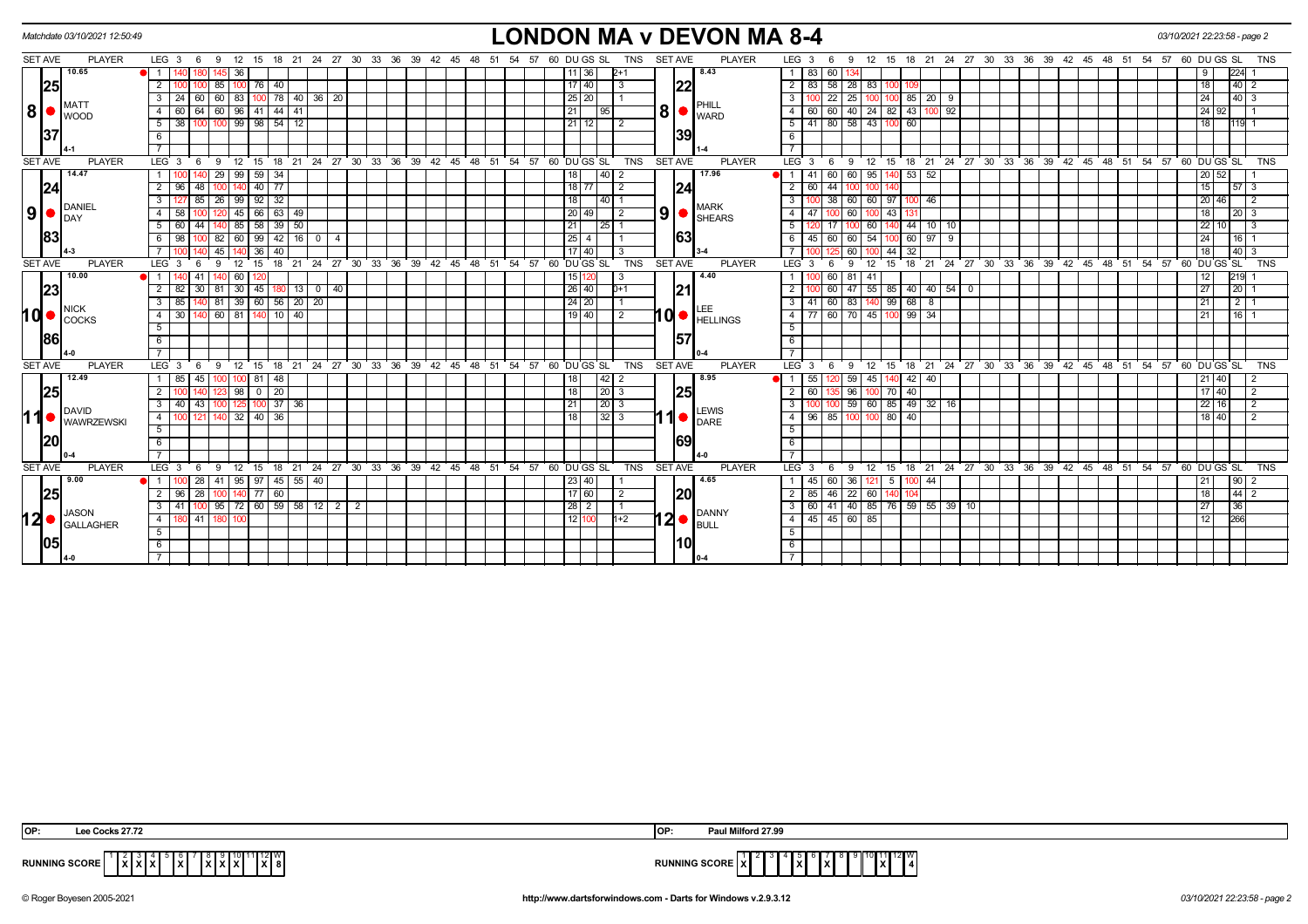|                |            | Matchdate 03/10/2021 12:50:49    |                     |         |       |              |    |                                                                            |              |                   |                |   |    |             |      |               |          |          |      |                    |                    |            |                |      | <b>LONDON MA v DEVON MA 8-4</b> |                     |             |           |                 |                  |              |                    |                                    |  |                         |       |                                  |    |    |    |                                                            | 03/10/2021 22:23:58 - page 2 |                 |                    |                            |                |  |
|----------------|------------|----------------------------------|---------------------|---------|-------|--------------|----|----------------------------------------------------------------------------|--------------|-------------------|----------------|---|----|-------------|------|---------------|----------|----------|------|--------------------|--------------------|------------|----------------|------|---------------------------------|---------------------|-------------|-----------|-----------------|------------------|--------------|--------------------|------------------------------------|--|-------------------------|-------|----------------------------------|----|----|----|------------------------------------------------------------|------------------------------|-----------------|--------------------|----------------------------|----------------|--|
| <b>SET AVE</b> |            | <b>PLAYER</b>                    | LEG <sub>3</sub>    |         | 6     | 9<br>12      | 15 | 18                                                                         | 21           | 24 27 30 33       |                |   | 36 | 39 42       | - 45 | 48            | 51       | 54<br>57 |      | 60 DU GS SL        |                    | TNS        | <b>SET AVE</b> |      | <b>PLAYER</b>                   | LEG <sub>3</sub>    |             | - 6       | -9              | 12 15            |              |                    | 18 21 24 27 30 33                  |  |                         | 36 39 | 42                               | 45 | 48 | 51 | 54                                                         | 57                           | 60 DU GS SL     |                    |                            | TNS            |  |
|                |            | 10.65                            | $\overline{1}$      |         | 180   | 145 36       |    |                                                                            |              |                   |                |   |    |             |      |               |          |          |      | 11 36              | $2+1$              |            |                |      | 8.43                            | $1 \mid 83$         |             | 6011      |                 |                  |              |                    |                                    |  |                         |       |                                  |    |    |    |                                                            |                              | 9               |                    | $224 - 1$                  |                |  |
|                | 25         |                                  | $\overline{2}$      |         |       | 85 100       |    | 76 40                                                                      |              |                   |                |   |    |             |      |               |          |          |      | 17 40              | l 3                |            |                | 22   |                                 | $2 \mid 83$         |             |           | $58$   28       | 83 100 1         |              |                    |                                    |  |                         |       |                                  |    |    |    |                                                            |                              | 18              |                    | $40-2$                     |                |  |
|                |            | MATT                             | $\overline{3}$      | $24$ 60 |       | 60 83        |    | 100 78 40 36 20                                                            |              |                   |                |   |    |             |      |               |          |          |      | $25 \mid 20 \mid$  | $\overline{1}$ 1   |            |                |      | PHILL                           | $\overline{3}$      |             |           | $22 \mid 25$    |                  |              | 100 100 85 20      | 9                                  |  |                         |       |                                  |    |    |    |                                                            |                              | 24              |                    | $ 40 $ 3                   |                |  |
| 8              |            | <b>I</b> woop                    | $\overline{4}$      | 60      | 64    | 60   96      |    | $41$ 44 41                                                                 |              |                   |                |   |    |             |      |               |          |          | 21   |                    | 95 I               |            | 8              |      | WARD                            | $\overline{4}$      | 60          |           | 60 40           | $24$ 82 43       |              | 100                | 92                                 |  |                         |       |                                  |    |    |    |                                                            |                              |                 | 24 92              |                            |                |  |
|                |            |                                  | 51                  | 38      |       |              |    | $\frac{100}{100}$ 100 99 98 54 12                                          |              |                   |                |   |    |             |      |               |          |          |      | $21$ 12            | $\overline{12}$    |            |                |      |                                 | $5 \mid 41$         |             |           | 80 58 43 100 60 |                  |              |                    |                                    |  |                         |       |                                  |    |    |    |                                                            |                              | 18              |                    | $119$ 1                    |                |  |
|                | 137        |                                  | 6                   |         |       |              |    |                                                                            |              |                   |                |   |    |             |      |               |          |          |      |                    |                    |            |                | 39   |                                 | 6                   |             |           |                 |                  |              |                    |                                    |  |                         |       |                                  |    |    |    |                                                            |                              |                 |                    |                            |                |  |
|                |            |                                  | $\overline{7}$      |         |       |              |    |                                                                            |              |                   |                |   |    |             |      |               |          |          |      |                    |                    |            |                |      |                                 | $\overline{7}$      |             |           |                 |                  |              |                    |                                    |  |                         |       |                                  |    |    |    |                                                            |                              |                 |                    |                            |                |  |
| <b>SET AVE</b> |            | <b>PLAYER</b>                    | LEG <sub>3</sub>    |         | 6     |              |    | 9 12 15 18 21 24 27 30 33 36 39 42 45 48 51 54 57 60 DUGSSL                |              |                   |                |   |    |             |      |               |          |          |      |                    |                    | TNS        | <b>SET AVE</b> |      | <b>PLAYER</b>                   |                     |             | $LEG_3$ 6 | ີ 9⊧            |                  |              |                    |                                    |  |                         |       |                                  |    |    |    | 12 15 18 21 24 27 30 33 36 39 42 45 48 51 54 57 60 DUGS SL |                              |                 |                    |                            | <b>TNS</b>     |  |
|                | 14.47      |                                  | -1 I                |         |       | $29 \mid 99$ |    | $59 \mid 34$                                                               |              |                   |                |   |    |             |      |               |          |          | 18   |                    | $40$   2           |            |                |      | 17.96                           |                     | -41         |           | 60 60           | 95               |              | $140$ 53 52        |                                    |  |                         |       |                                  |    |    |    |                                                            |                              |                 | 20 52              |                            |                |  |
|                | 24         |                                  | $\overline{2}$      | 96      | 48    |              |    | $40$ 77                                                                    |              |                   |                |   |    |             |      |               |          |          |      | 18   77            | $\overline{2}$     |            |                | 24   |                                 | $2 \mid 60$         |             | 44        |                 | 100              |              |                    |                                    |  |                         |       |                                  |    |    |    |                                                            |                              | 15              |                    | $57$ 3                     |                |  |
|                |            | DANIEL                           | $\overline{3}$      | 127     | 85    |              |    | $26 \mid 99 \mid 92 \mid 32$                                               |              |                   |                |   |    |             |      |               |          |          | 18   |                    | 40 1               |            |                |      | <b>MARK</b>                     | $\overline{3}$      |             |           |                 |                  |              | 38 60 60 97 100 46 |                                    |  |                         |       |                                  |    |    |    |                                                            |                              |                 | 20 46              |                            | $\overline{2}$ |  |
| 9              | <b>DAY</b> |                                  | $\overline{4}$      | 58      |       |              | 45 | $66$ 63 49                                                                 |              |                   |                |   |    |             |      |               |          |          | 20   | 49 I               | $\overline{2}$     |            | 9 <sup>1</sup> |      | <b>SHEARS</b>                   | $\overline{4}$      | 47          |           | 100 60          | 100              | 43           |                    |                                    |  |                         |       |                                  |    |    |    |                                                            |                              | 18              |                    | $20 \mid 3$                |                |  |
|                |            |                                  |                     | 5 60    | 44    | 140 85       |    | $58 \mid 39 \mid 50$                                                       |              |                   |                |   |    |             |      |               |          |          | 21   |                    | 2511               |            |                |      |                                 | 5                   |             |           |                 |                  |              |                    | $\boxed{60}$ 140 44 10 10          |  |                         |       |                                  |    |    |    |                                                            |                              |                 | 22 10              |                            | 3              |  |
|                | 83         |                                  | 6                   | 98      |       | 82   60      |    | 99                                                                         | $42$   16    | $\overline{0}$    | $\overline{4}$ |   |    |             |      |               |          |          | 25   | 4                  |                    |            |                | 63   |                                 | 6                   | 45          |           | 60 60           | 54               |              | 60   97            | $_{9}$                             |  |                         |       |                                  |    |    |    |                                                            |                              | 24              |                    | 16                         |                |  |
|                |            |                                  |                     |         |       | 45           |    | 36<br>40                                                                   |              |                   |                |   |    |             |      |               |          |          |      | 17 40              | -3                 |            |                |      |                                 | $\overline{7}$      |             |           | 60              | $\overline{100}$ | $44 \mid 32$ |                    |                                    |  |                         |       |                                  |    |    |    |                                                            |                              | 18              |                    | $40 \overline{\smash{)}3}$ |                |  |
| <b>SET AVE</b> |            | <b>PLAYER</b>                    | $LEG \ 3$           |         | 6     | 9<br>12      |    | 15 18 21 24 27 30 33 36 39 42 45                                           |              |                   |                |   |    |             |      | $48 \quad 51$ | 54       | 57       |      | 60 DU GS SL        |                    | <b>TNS</b> | <b>SET AVE</b> |      | <b>PLAYER</b>                   | $LEG \ 3$           |             | 6         | 9               |                  |              |                    |                                    |  |                         |       | 12 15 18 21 24 27 30 33 36 39 42 |    |    |    | 45 48 51 54 57                                             |                              |                 |                    |                            | 60 DUGS SL TNS |  |
|                |            | 10.00                            | $\overline{1}$      |         | 41    |              | 60 |                                                                            |              |                   |                |   |    |             |      |               |          |          | 15   |                    |                    |            |                |      | 4.40                            |                     |             |           | 60   81         | 41               |              |                    |                                    |  |                         |       |                                  |    |    |    |                                                            |                              | 12              |                    | 219                        |                |  |
|                | 23         |                                  | $\overline{2}$      | 82      | 30    | 81   30      |    | 45                                                                         |              | $180$ 13 0 40     |                |   |    |             |      |               |          |          |      | $\sqrt{26}$ 40     | $D+1$              |            |                | 21   |                                 | $\overline{2}$      |             |           | 60   47         |                  |              |                    | $55 \ 85 \ 40 \ 40 \ 54 \ 0$       |  |                         |       |                                  |    |    |    |                                                            |                              | $\overline{27}$ |                    | 20                         |                |  |
|                |            | NICK                             | $\overline{3}$      | 85      |       |              |    | $81 \overline{39} \overline{60} \overline{56} \overline{20} \overline{20}$ |              |                   |                |   |    |             |      |               |          |          |      | $24 \overline{20}$ | l 1                |            |                |      |                                 | $\overline{3}$      | 41          |           | $60$ 83         | 140              |              | 99 68 8            |                                    |  |                         |       |                                  |    |    |    |                                                            |                              | 21              |                    | $2\overline{11}$           |                |  |
| hd •           |            | COCKS                            | $\overline{4}$      | 30      |       | 60 81        |    | $140$ 10 $40$                                                              |              |                   |                |   |    |             |      |               |          |          |      | 19140              | $\overline{2}$     |            |                |      | $10 \bullet $                   | $4\overline{77}$    |             |           |                 |                  |              | 60 70 45 100 99 34 |                                    |  |                         |       |                                  |    |    |    |                                                            |                              | 21              |                    | 16                         |                |  |
|                | 86         |                                  | 5                   |         |       |              |    |                                                                            |              |                   |                |   |    |             |      |               |          |          |      |                    |                    |            |                | 57   |                                 | 5                   |             |           |                 |                  |              |                    |                                    |  |                         |       |                                  |    |    |    |                                                            |                              |                 |                    |                            |                |  |
|                |            |                                  | 6<br>$\overline{7}$ |         |       |              |    |                                                                            |              |                   |                |   |    |             |      |               |          |          |      |                    |                    |            |                |      |                                 | 6<br>$\overline{7}$ |             |           |                 |                  |              |                    |                                    |  |                         |       |                                  |    |    |    |                                                            |                              |                 |                    |                            |                |  |
| <b>SET AVE</b> |            | <b>PLAYER</b>                    | LEG <sub>3</sub>    |         | - 6   | 12<br>9      | 15 |                                                                            |              | 18 21 24 27 30 33 |                |   |    | 36 39 42 45 |      | 48            | 54<br>51 |          |      | 57 60 DU GS SL     |                    | <b>TNS</b> | <b>SET AVE</b> |      | <b>PLAYER</b>                   | LEG 3               |             | 6         | - 9             | 12 15            |              |                    |                                    |  | 18 21 24 27 30 33 36 39 |       | 42                               |    |    |    | 45 48 51 54 57                                             |                              | 60 DU GS SL     |                    |                            | <b>TNS</b>     |  |
|                |            | 12.49                            |                     | 85      | 45    |              | 81 | 48                                                                         |              |                   |                |   |    |             |      |               |          |          | 18   |                    | 42 2               |            |                |      | 8.95                            |                     | 55          |           | 120 59          | 45               |              | 42   40            |                                    |  |                         |       |                                  |    |    |    |                                                            |                              |                 | $21 \overline{40}$ |                            |                |  |
|                | 25         |                                  | $\overline{2}$      |         |       | 123 98       |    | $0$   20                                                                   |              |                   |                |   |    |             |      |               |          |          | 18   |                    | $\vert 20 \vert 3$ |            |                | 25   |                                 | 2 <sup>1</sup>      | 60          |           | 135 96          |                  | 100 70 40    |                    |                                    |  |                         |       |                                  |    |    |    |                                                            |                              |                 | 17 40              |                            | $\overline{2}$ |  |
|                |            |                                  | $\frac{1}{3}$       | 40      | $-43$ | 100 125      |    | $100$ 37 36                                                                |              |                   |                |   |    |             |      |               |          |          | 21   |                    | $\vert 20 \vert 3$ |            |                |      |                                 | $\overline{3}$      |             |           |                 |                  |              |                    | $\frac{100}{59}$ 59 60 85 49 32 16 |  |                         |       |                                  |    |    |    |                                                            |                              |                 | 22 16              |                            | $\overline{2}$ |  |
| 11             |            | DAVID                            | 4                   |         | 121   |              |    | 140 32 40 36                                                               |              |                   |                |   |    |             |      |               |          |          | 18   |                    | $32$ $3$           |            | 11             |      | LEWIS<br>DARE                   | $\overline{4}$      |             |           | 96   85   100   |                  | 100 80 40    |                    |                                    |  |                         |       |                                  |    |    |    |                                                            |                              |                 | 18 40              |                            | $\overline{2}$ |  |
|                |            | <b>WAWRZEWSKI</b>                | 5                   |         |       |              |    |                                                                            |              |                   |                |   |    |             |      |               |          |          |      |                    |                    |            |                |      |                                 | 5                   |             |           |                 |                  |              |                    |                                    |  |                         |       |                                  |    |    |    |                                                            |                              |                 |                    |                            |                |  |
|                | 20         |                                  | 6                   |         |       |              |    |                                                                            |              |                   |                |   |    |             |      |               |          |          |      |                    |                    |            |                | 69   |                                 | 6                   |             |           |                 |                  |              |                    |                                    |  |                         |       |                                  |    |    |    |                                                            |                              |                 |                    |                            |                |  |
|                |            |                                  |                     |         |       |              |    |                                                                            |              |                   |                |   |    |             |      |               |          |          |      |                    |                    |            |                |      |                                 | $\overline{7}$      |             |           |                 |                  |              |                    |                                    |  |                         |       |                                  |    |    |    |                                                            |                              |                 |                    |                            |                |  |
| <b>SET AVE</b> |            | <b>PLAYER</b>                    | LEG <sub>3</sub>    |         | - 6   | - 9          |    | 12 15 18 21 24 27 30 33 36 39 42 45 48 51 54 57 60 DUGS SL                 |              |                   |                |   |    |             |      |               |          |          |      |                    |                    | TNS        | SET AVE        |      | <b>PLAYER</b>                   | $LEG \ 3$           |             | 69        |                 |                  |              |                    |                                    |  |                         |       |                                  |    |    |    | 12 15 18 21 24 27 30 33 36 39 42 45 48 51 54 57            |                              | 60 DU GS SL     |                    |                            | <b>TNS</b>     |  |
|                | 9.00       |                                  | $\overline{1}$      |         | 28    | 41 95        | 97 |                                                                            | $45 \mid 55$ | 40                |                |   |    |             |      |               |          |          |      | 23 40              |                    |            |                |      | 4.65                            |                     | $1 \mid 45$ |           | 60 36           | 121              | 5            | 44                 |                                    |  |                         |       |                                  |    |    |    |                                                            |                              | 21              |                    | 90                         | $\overline{2}$ |  |
|                | 25         |                                  | $\overline{2}$      | 96      | 28    | 100 140      |    | $77$ 60                                                                    |              |                   |                |   |    |             |      |               |          |          |      | $17 60 $           | $\overline{2}$     |            |                | 20   |                                 | $2 \mid 85 \mid$    |             |           | 46 22 60 140    |                  |              |                    |                                    |  |                         |       |                                  |    |    |    |                                                            |                              | 18              |                    | $44$ 2                     |                |  |
|                |            |                                  | $\overline{3}$      | 41      |       |              |    | $\frac{95}{72}$ 60 59 58 12 2                                              |              |                   |                | 2 |    |             |      |               |          |          | 28   | $\overline{2}$     | l 1                |            |                |      |                                 | 3   60              |             |           |                 |                  |              |                    | 41 40 85 76 59 55 39 10            |  |                         |       |                                  |    |    |    |                                                            |                              | 27              |                    | 36                         |                |  |
| 12             |            | <b>JASON</b><br><b>GALLAGHER</b> | 4                   | 80 41   |       | 180 100      |    |                                                                            |              |                   |                |   |    |             |      |               |          |          | 12 1 |                    | $1+2$              |            |                | I2I● | <b>DANNY</b><br><b>BULL</b>     |                     |             |           | 4 4 45 45 60 85 |                  |              |                    |                                    |  |                         |       |                                  |    |    |    |                                                            |                              | 12              |                    | 266                        |                |  |
|                |            |                                  | 5                   |         |       |              |    |                                                                            |              |                   |                |   |    |             |      |               |          |          |      |                    |                    |            |                |      |                                 | 5                   |             |           |                 |                  |              |                    |                                    |  |                         |       |                                  |    |    |    |                                                            |                              |                 |                    |                            |                |  |
|                | 105        |                                  | 6                   |         |       |              |    |                                                                            |              |                   |                |   |    |             |      |               |          |          |      |                    |                    |            |                | 10   |                                 | 6                   |             |           |                 |                  |              |                    |                                    |  |                         |       |                                  |    |    |    |                                                            |                              |                 |                    |                            |                |  |
|                | ll 4-0     |                                  |                     |         |       |              |    |                                                                            |              |                   |                |   |    |             |      |               |          |          |      |                    |                    |            |                |      |                                 | $\overline{7}$      |             |           |                 |                  |              |                    |                                    |  |                         |       |                                  |    |    |    |                                                            |                              |                 |                    |                            |                |  |

| OP:<br>ocks 27.72                                                                 | Paul Milford 27.99<br><b>IOP</b>                                                                                   |
|-----------------------------------------------------------------------------------|--------------------------------------------------------------------------------------------------------------------|
| IIIZIW<br><b>RUNNING SCORE</b><br>$\ X\ $ 8<br><i>.</i><br>.<br>^ " ^<br>.<br>^ " | $11^{12}$ $\binom{10}{4}$<br><b>RUNNING SCORE</b><br>Ixl<br>$\mathbf{r}$<br>$\overline{\phantom{a}}$<br>. .<br>. . |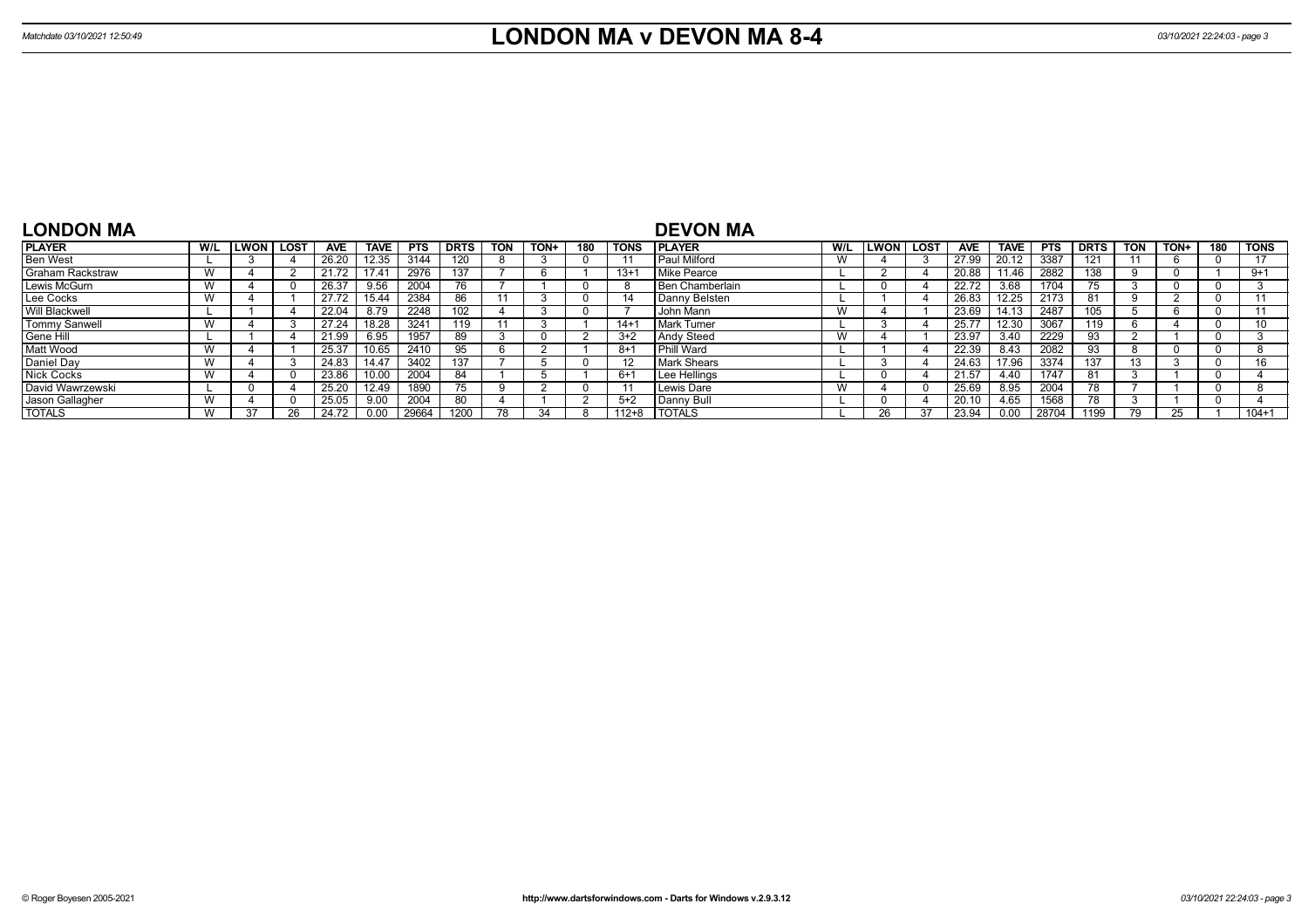| <b>LONDON MA</b>        |     |      |      |       |                |            |             |            |      |     |           | <b>DEVON MA</b>        |     |             |             |            |             |            |             |            |      |     |             |
|-------------------------|-----|------|------|-------|----------------|------------|-------------|------------|------|-----|-----------|------------------------|-----|-------------|-------------|------------|-------------|------------|-------------|------------|------|-----|-------------|
| <b>PLAYER</b>           | W/L | LWON | LOST | AVE   | <b>TAVE</b>    | <b>PTS</b> | <b>DRTS</b> | <b>TON</b> | TON+ | 180 | TONS      | <b>PLAYER</b>          | W/L | <b>LWON</b> | <b>LOST</b> | <b>AVE</b> | <b>TAVE</b> | <b>PTS</b> | <b>DRTS</b> | <b>TON</b> | TON+ | 180 | <b>TONS</b> |
| <b>Ben West</b>         |     |      |      | 26.20 | 12.35          | 3144       |             |            |      |     |           | Paul Milford           | W   |             |             | 27.99      | 20.12       | 3387       | 121         |            |      |     | 17          |
| <b>Graham Rackstraw</b> |     |      |      | 21.72 | $17.4^{\circ}$ | 2976       | 137         |            |      |     | $13 + 7$  | Mike Pearce            |     |             |             | 20.88      | 11.46       | 2882       | 38          |            |      |     | $9+1$       |
| Lewis McGurn            |     |      |      | 26.37 | 9.56           | 2004       |             |            |      |     |           | <b>Ben Chamberlain</b> |     |             |             | 22.72      | 3.68        | 1704       | $\sqrt{5}$  |            |      |     |             |
| Lee Cocks               |     |      |      | 27.72 | 15.44          | 2384       | 86          |            |      |     |           | Danny Belsten          |     |             |             | 26.83      | 12.25       | 2173       | 81          |            |      |     |             |
| Will Blackwell          |     |      |      | 22.04 | 8.79           | 2248       | 102         |            |      |     |           | John Mann              | W   |             |             | 23.69      | 14.13       | 2487       | 05          |            |      |     |             |
| Tommy Sanwell           |     |      |      | 27.24 | 18.28          | 3241       | 119         |            |      |     | $14+$     | <b>Mark Turner</b>     |     |             |             | 25.77      | 12.30       | 3067       | 119         |            |      |     | 10          |
| Gene Hill               |     |      |      | 21.99 | 6.95           | 1957       | 89          |            |      |     | $3+2$     | <b>Andy Steed</b>      | W   |             |             | 23.97      | 3.40        | 2229       | 93          |            |      |     |             |
| Matt Wood               |     |      |      | 25.37 | 10.65          | 2410       | 95          |            |      |     | $8+1$     | Phill Ward             |     |             |             | 22.39      | 8.43        | 2082       | 93          |            |      |     |             |
| Daniel Day              |     |      |      | 24.83 | 14.47          | 3402       | 137         |            |      |     |           | <b>Mark Shears</b>     |     |             |             | 24.63      | 17.96       | 3374       | 137         | 13         |      |     | 16          |
| <b>Nick Cocks</b>       |     |      |      | 23.86 |                | 2004       | 84          |            |      |     | $6+1$     | Lee Hellings           |     |             |             | 21.57      | 4.40        | 1747       | 81          |            |      |     |             |
| David Wawrzewski        |     |      |      | 25.20 | 12.49          | 1890       |             |            |      |     |           | Lewis Dare             | W   |             |             | 25.69      | 8.95        | 2004       | 78          |            |      |     |             |
| Jason Gallagher         |     |      |      | 25.05 | 9.00           | 2004       | 80          |            |      |     | $5+2$     | l Danny Bull           |     |             |             | 20.10      | 4.65        | 1568       | 78          |            |      |     |             |
| <b>TOTALS</b>           |     | 37   |      | 24.72 | 0.00           | 29664      | 1200        | 78         |      |     | $112 + 8$ | <b>I TOTALS</b>        |     | 26          |             | 23.94      | 0.00        | 28704      | 1199        |            | 25.  |     | $104 + 1$   |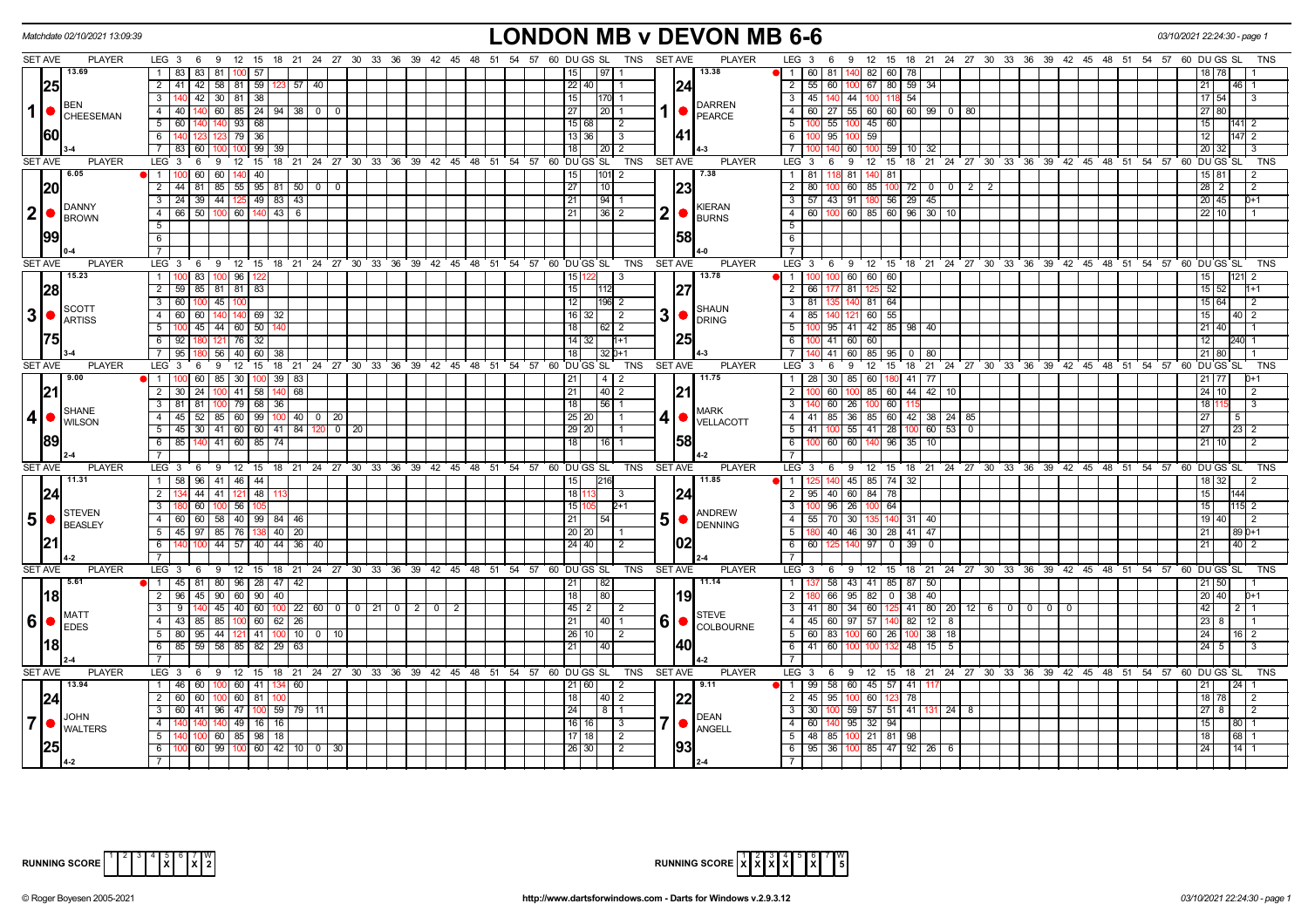|                | Matchdate 02/10/2021 13:09:39                                 |                                                                                                     |       |                |                                                      |  |  |                 | <b>LONDON MB v DEVON MB 6-6</b> |                |                                                 |                |                                                                                                            |                |                     |                                                |                |  |             |                                                 | 03/10/2021 22:24:30 - page                                 |                            |
|----------------|---------------------------------------------------------------|-----------------------------------------------------------------------------------------------------|-------|----------------|------------------------------------------------------|--|--|-----------------|---------------------------------|----------------|-------------------------------------------------|----------------|------------------------------------------------------------------------------------------------------------|----------------|---------------------|------------------------------------------------|----------------|--|-------------|-------------------------------------------------|------------------------------------------------------------|----------------------------|
| <b>SET AVE</b> | <b>PLAYER</b>                                                 | LEG 3 6 9 12 15 18 21 24 27 30 33 36 39 42 45 48 51 54 57 60 DUGS SL TNS SETAVE                     |       |                |                                                      |  |  |                 |                                 |                |                                                 | <b>PLAYER</b>  | LEG 3 6 9 12 15 18 21 24 27 30 33 36 39 42 45 48 51 54 57 60 DUGS SL                                       |                |                     |                                                |                |  |             |                                                 |                                                            | TNS                        |
|                | 13.69                                                         | 1 83 83 81 100<br>57                                                                                |       |                |                                                      |  |  | 15              | 197 I                           |                | 13.38                                           |                | $\blacksquare$ 1<br>60   81   140   82   60   78                                                           |                |                     |                                                |                |  |             |                                                 |                                                            |                            |
|                | 25                                                            | 2 41 42 58 81 59                                                                                    | 123   | 57   40        |                                                      |  |  | $22$ 40         |                                 |                | 124                                             |                | $\overline{2}$<br>55 60 100 67 80 59                                                                       |                |                     | -34                                            |                |  |             |                                                 | 21                                                         |                            |
|                |                                                               | $3 - 140$<br>42 30 81 38                                                                            |       |                |                                                      |  |  | 15              | $ 170 $ 1                       |                |                                                 |                | $\overline{3}$<br>45 140 44 100                                                                            |                | 118 54              |                                                |                |  |             |                                                 | $17 \overline{)54}$                                        | 3                          |
| $\mathbf{1}$   | <b>BEN</b><br>CHEESEMAN                                       | $60$   85   24   94   38   0<br>$\overline{4}$<br>40 <sup>1</sup>                                   |       | - 0            |                                                      |  |  | 27 <sup>1</sup> | $\vert 20 \vert$ 1              |                | <b>PEARCE</b>                                   | <b>DARREN</b>  | $60$   27   55   60   60   60   99   0   80<br>$\overline{4}$                                              |                |                     |                                                |                |  |             |                                                 | 27 80                                                      |                            |
|                |                                                               | 5<br>60<br>$140$ 93 68<br>140                                                                       |       |                |                                                      |  |  | 15 68           | $\vert$ 2                       |                |                                                 |                | 100 55 100 45 60<br>5 <sup>5</sup>                                                                         |                |                     |                                                |                |  |             |                                                 | 15 <sup>1</sup>                                            | 141  2                     |
|                | 1601                                                          | 123 123 79 36<br>6 140                                                                              |       |                |                                                      |  |  | 13   36         | $\vert$ 3                       |                | 141                                             |                | 6<br>100 95 100 59                                                                                         |                |                     |                                                |                |  |             |                                                 | 12 <sup>1</sup>                                            | 147 2                      |
|                |                                                               | $7 \overline{\smash{)}83}$<br>60<br>99                                                              | 39    |                |                                                      |  |  | 18              | 12012                           |                | $4 - 3$                                         |                | $\overline{7}$<br>60                                                                                       |                | $59$ 10 32          |                                                |                |  |             |                                                 | 20 32                                                      | $\overline{\phantom{a}}$ 3 |
| <b>SET AVE</b> | <b>PLAYER</b>                                                 | LEG <sub>3</sub><br>6<br>9<br>12 15                                                                 |       |                | 18 21 24 27 30 33 36 39 42 45 48 51 54 57 60 DUGS SL |  |  |                 | TNS                             | <b>SET AVE</b> |                                                 | <b>PLAYER</b>  | LEG <sub>3</sub><br>6<br>- 9                                                                               |                |                     |                                                |                |  |             |                                                 | 12 15 18 21 24 27 30 33 36 39 42 45 48 51 54 57 60 DUGS SL | TNS                        |
|                | 6.05                                                          | 60 60 140<br>40<br>1 100                                                                            |       |                |                                                      |  |  | 15              | $ 101 $ 2                       |                | 7.38                                            |                | $1 \mid 81$<br>118 81                                                                                      | 81             |                     |                                                |                |  |             |                                                 | 15 81                                                      | $\overline{2}$             |
|                | 20                                                            | $85 \mid 55 \mid 95 \mid 81 \mid 50 \mid 0 \mid 0$<br>$\overline{2}$<br>44 81                       |       |                |                                                      |  |  | 27              | $ 10\rangle$                    |                | 23                                              |                | $\overline{2}$<br>80<br>60<br>85                                                                           |                |                     | $100$ 72 0 0 2                                 | $\overline{2}$ |  |             |                                                 | $28 \mid 2$                                                | $\vert$ 2                  |
|                |                                                               | 39 44 125 49 83<br>$\overline{\mathbf{3}}$<br>24                                                    |       | 43             |                                                      |  |  | 21              | 94 1                            |                |                                                 |                | $57$   43   91<br>3 <sup>1</sup><br>180                                                                    |                | $56$   29           | 45                                             |                |  |             |                                                 | 20 45                                                      | 0+1                        |
| 2 ●            | DANNY<br><b>BROWN</b>                                         | 66 50 100 60 140 43 6<br>$\overline{4}$                                                             |       |                |                                                      |  |  | 211             | $13612$                         | $2  \bullet$   | <b>KIERAN</b><br><b>BURNS</b>                   |                | 4 60 100 60 85 60 96 30 10                                                                                 |                |                     |                                                |                |  |             |                                                 | 22 10                                                      |                            |
|                |                                                               | -5                                                                                                  |       |                |                                                      |  |  |                 |                                 |                |                                                 |                | 5                                                                                                          |                |                     |                                                |                |  |             |                                                 |                                                            |                            |
|                | 1991                                                          | 6                                                                                                   |       |                |                                                      |  |  |                 |                                 |                | 58                                              |                | 6                                                                                                          |                |                     |                                                |                |  |             |                                                 |                                                            |                            |
|                |                                                               |                                                                                                     |       |                |                                                      |  |  |                 |                                 |                |                                                 |                | $\overline{7}$                                                                                             |                |                     |                                                |                |  |             |                                                 |                                                            |                            |
| <b>SET AVE</b> | <b>PLAYER</b>                                                 | LEG <sup>3</sup><br>9 12 15 18 21 24 27 30 33 36 39 42 45 48 51 54 57 60 DUGS SL<br>6               |       |                |                                                      |  |  |                 | TNS                             | <b>SET AVE</b> |                                                 | <b>PLAYER</b>  | LEG 3<br>69                                                                                                |                |                     |                                                |                |  |             | 12 15 18 21 24 27 30 33 36 39 42 45 48 51 54 57 | 60 DU GS SL                                                | <b>TNS</b>                 |
|                | 15.23                                                         | 00 83 100 96<br>$\mathbf{1}$<br>122                                                                 |       |                |                                                      |  |  | 15 1            | $\vert$ 3                       |                | 13.78                                           |                | $\sqrt{1}$<br>0 60 60 60<br>100 I                                                                          |                |                     |                                                |                |  |             |                                                 | 15 <sup>1</sup>                                            | 2                          |
|                | 28                                                            | 2 59 85 81 81 83                                                                                    |       |                |                                                      |  |  | 15              | 112                             |                | 27                                              |                | 2   66   177   81                                                                                          | 52             |                     |                                                |                |  |             |                                                 | $15 \overline{)52}$                                        | $1+1$                      |
|                |                                                               | $\overline{\mathbf{3}}$<br>60<br>$-45$ 100                                                          |       |                |                                                      |  |  | 12              | $196$ 2                         |                |                                                 |                | $\overline{3}$<br>81                                                                                       | 81 64          |                     |                                                |                |  |             |                                                 | $15 \ 64$                                                  | $\overline{2}$             |
|                | <b>SCOTT</b><br>$3$ $\bullet$ $\frac{1}{100}$ $\frac{1}{100}$ | $\overline{4}$<br>60<br>60<br>69                                                                    | 32    |                |                                                      |  |  | $16$ 32         | l 2                             | 3 •            | <b>SHAUN</b><br><b>DRING</b>                    |                | 85<br>60                                                                                                   | 55             |                     |                                                |                |  |             |                                                 | 15                                                         | 40   2                     |
|                |                                                               | 45 44 60 50<br>5                                                                                    |       |                |                                                      |  |  | 18              |                                 |                |                                                 |                | 5<br>95 41 42 85 98                                                                                        |                |                     | 40                                             |                |  |             |                                                 | 21 40                                                      |                            |
|                |                                                               | 92<br>6<br>121 76<br>32<br>180                                                                      |       |                |                                                      |  |  | $14$ 32         | $1 + 1$                         |                | 25                                              |                | 60<br>6<br>41<br>60                                                                                        |                |                     |                                                |                |  |             |                                                 | 12                                                         | 240 1                      |
|                |                                                               | 56 40<br>95<br>60                                                                                   | 38    |                |                                                      |  |  | 18              | l 32 l0+1                       |                |                                                 |                | $\overline{7}$<br>41<br>85<br>60                                                                           | 95             | - 0                 | 80                                             |                |  |             |                                                 | $21$ 80                                                    |                            |
| <b>SET AVE</b> | <b>PLAYER</b>                                                 | LEG <sub>3</sub><br>12<br>15<br>- 6<br>9                                                            |       |                | 18 21 24 27 30 33 36 39 42 45 48 51 54 57 60 DUGS SL |  |  |                 | <b>TNS</b>                      | <b>SET AVE</b> |                                                 | <b>PLAYER</b>  | $LEG \ 3$<br>6<br>12<br>9                                                                                  | 15             |                     |                                                |                |  |             | 18 21 24 27 30 33 36 39 42 45 48 51 54 57       | 60 DU GS SL                                                | TNS                        |
|                | 9.00                                                          | $\overline{1}$<br>60<br>85   30                                                                     | 39    | 83             |                                                      |  |  | 21              | 4   2                           |                | 11.75                                           |                | 1 I<br>28<br>30<br>60<br>85                                                                                |                | 41                  | 77                                             |                |  |             |                                                 | 21   77                                                    |                            |
|                | 21                                                            | $\overline{2}$<br>$100$ 41 58<br>30 <sup>1</sup><br>24                                              | 140   | 68             |                                                      |  |  | 21              | 40 2                            |                | 21                                              |                | $\overline{2}$<br>6011                                                                                     |                | 85 60 44 42         | 10                                             |                |  |             |                                                 | 24 10                                                      | $\overline{2}$             |
|                | <b>SHANE</b>                                                  | $\overline{3}$<br>$100$ 79 68<br>81                                                                 | 36    |                |                                                      |  |  | 18              | $156$   1                       |                | <b>MARK</b>                                     |                | $\overline{\mathbf{3}}$<br>60 26                                                                           | 60             |                     |                                                |                |  |             |                                                 | 18                                                         | $\mathbf{3}$               |
| 4 <sup>1</sup> | <b>WILSON</b>                                                 | $52 \mid 85 \mid 60 \mid 99$<br>45<br>4                                                             |       | $100$ 40 0 20  |                                                      |  |  | 25 20           | $\overline{11}$                 |                | $\left  4 \right $ $\bullet$ $\left $ vellacott |                | 41   85   36   85   60   42   38   24   85<br>4                                                            |                |                     |                                                |                |  |             |                                                 | 27 <sup>1</sup>                                            |                            |
|                |                                                               | 45 30 41 60 60 41 84 120 0<br>5                                                                     |       |                | 20                                                   |  |  | 29 20           | l 1                             |                |                                                 |                | 41   100   55   41   28   100   60   53   0<br>5                                                           |                |                     |                                                |                |  |             |                                                 | 27                                                         | $23 \mid 2$                |
|                | 89                                                            | 6 85 140 41 60 85 74                                                                                |       |                |                                                      |  |  | 18              | 16 1                            |                | 58                                              |                | $6 \mid$<br>100 60 60                                                                                      |                | 140 96 35 10        |                                                |                |  |             |                                                 | $21 \ 10$                                                  | $\vert$ 2                  |
|                |                                                               |                                                                                                     |       |                |                                                      |  |  |                 |                                 |                |                                                 |                | $\overline{7}$                                                                                             |                |                     |                                                |                |  |             |                                                 |                                                            |                            |
| <b>SET AVE</b> | <b>PLAYER</b>                                                 | 9 12 15 18 21 24 27 30 33 36 39 42 45 48 51 54 57 60 DUGS SL<br>LEG 3<br>$6\overline{6}$            |       |                |                                                      |  |  |                 | TNS                             | <b>SET AVE</b> |                                                 | <b>PLAYER</b>  | LEG <sub>3</sub><br>6<br>9                                                                                 |                |                     |                                                |                |  |             |                                                 | 12 15 18 21 24 27 30 33 36 39 42 45 48 51 54 57 60 DUGS SL | <b>TNS</b>                 |
|                | 11.31                                                         | 1 58 96 41 46 44                                                                                    |       |                |                                                      |  |  | 15              | 216                             |                | 11.85                                           |                | 125 140 45 85 74 32<br>- 1 I                                                                               |                |                     |                                                |                |  |             |                                                 | 18 32                                                      | -2                         |
|                | 24                                                            | 44<br>41   121<br>48<br>2                                                                           |       |                |                                                      |  |  | 18 1            | $\vert$ 3                       |                | 124                                             |                | $\overline{2}$<br>$95$ 40 60<br>84                                                                         | 78             |                     |                                                |                |  |             |                                                 | 15                                                         |                            |
|                | <b>STEVEN</b>                                                 | 60<br>-3<br>100 56                                                                                  |       |                |                                                      |  |  | 15 1            | $2+1$                           |                |                                                 | <b>ANDREW</b>  | $100 \mid 96 \mid 26$<br>3<br>100                                                                          | 64             |                     |                                                |                |  |             |                                                 | 15 <sup>1</sup>                                            | 115 2                      |
| 5 <sup>1</sup> | <b>BEASLEY</b>                                                | 60 60 58 40 99 84 46<br>$\overline{4}$                                                              |       |                |                                                      |  |  | 21              | 154                             | $5\bullet$     |                                                 | <b>DENNING</b> | $4$   55   70   30                                                                                         |                | 140 31 40           |                                                |                |  |             |                                                 | 19   40                                                    | $\vert$ 2                  |
|                |                                                               | 45   97   85   76   138   40   20  <br>5                                                            |       |                |                                                      |  |  | 20   20         |                                 |                |                                                 |                | 5 <sup>5</sup><br>40   46   30   28   41   47                                                              |                |                     |                                                |                |  |             |                                                 | 21                                                         | 89 0+1                     |
|                |                                                               | 44   57   40   44   36                                                                              |       | 40             |                                                      |  |  | 24 40           | 2                               |                | 102                                             |                | 6<br>60 I<br>97                                                                                            | $\overline{0}$ | 39                  | $^{\circ}$                                     |                |  |             |                                                 | 21                                                         | $40$   2                   |
|                |                                                               |                                                                                                     |       |                |                                                      |  |  |                 |                                 |                |                                                 |                | $\overline{7}$                                                                                             |                |                     |                                                |                |  |             |                                                 |                                                            |                            |
| <b>SET AVE</b> | <b>PLAYER</b><br>15.61                                        | $LEG_3$ 6<br>9 12 15 18 21 24 27 30 33 36 39 42 45 48 51 54 57 60 DUGS SL<br>1 45 81 80 96 28 47 42 |       |                |                                                      |  |  |                 | TNS<br>$\overline{82}$          | <b>SET AVE</b> | 11.14                                           | <b>PLAYER</b>  | LEG 3<br>6 9 12 15 18 21 24 27 30 33 36 39 42 45 48 51 54 57<br>58 43 41 85 87 50<br>$\overline{1}$<br>137 |                |                     |                                                |                |  |             |                                                 | 60 DU GS SL                                                | TNS                        |
|                |                                                               | $90 \ 60 \ 90 \ 40$<br>$2 \mid 96$<br>45                                                            |       |                |                                                      |  |  | 21              |                                 |                |                                                 |                | $\overline{2}$                                                                                             |                |                     |                                                |                |  |             |                                                 | $21 \overline{50}$                                         |                            |
|                | 18                                                            | $\mathbf{3}$<br>9   140                                                                             |       |                |                                                      |  |  | 18              | 80                              |                | 19                                              |                | 66 95 82<br>3 I<br>41   80   34   60                                                                       |                | $0 \mid 38 \mid 40$ |                                                |                |  |             |                                                 | 20 40<br>42                                                | 0+1                        |
|                | <b>MATT</b>                                                   | 45 40 60 100 22 60 0 0 21 0 2 0<br>60<br>$\overline{4}$<br>43 85<br>85   100                        | 62    | 26             |                                                      |  |  | $ 45 $ 2<br>211 | $\frac{12}{2}$<br>14011         | 61             | <b>STEVE</b>                                    |                | 45 60 97<br>57<br>$\mathbf{\Delta}$                                                                        |                | 82                  | $125$   41   80   20   12   6   0   0   0<br>8 |                |  | $\mathbf 0$ |                                                 | 23 <sup>1</sup><br>-8                                      |                            |
|                |                                                               | 80 95 44 121<br>41<br>5                                                                             | 100   | $10$ 0<br>10   |                                                      |  |  | $26$ 10         |                                 |                |                                                 | COLBOURNE      | $5-1$<br>60 83<br>60                                                                                       |                | 26 100              | 12<br>38<br>18                                 |                |  |             |                                                 | 24                                                         | $16$   2                   |
|                | I181                                                          | $58$ 85<br>85<br>59<br>82<br>6                                                                      | 29    | 63             |                                                      |  |  | 21              | $ 40\rangle$                    |                | 140                                             |                | 41<br>$6^{\circ}$<br>60                                                                                    |                | 48                  | 15<br>5                                        |                |  |             |                                                 | $24 \overline{5}$                                          | $\overline{3}$             |
|                |                                                               |                                                                                                     |       |                |                                                      |  |  |                 |                                 |                |                                                 |                |                                                                                                            |                |                     |                                                |                |  |             |                                                 |                                                            |                            |
| <b>SET AVE</b> | <b>PLAYER</b>                                                 | LEG 3 6 9 12 15 18 21 24 27 30 33 36 39 42 45 48 51 54 57 60 DUGS SL                                |       |                |                                                      |  |  |                 | TNS                             | <b>SET AVE</b> |                                                 | <b>PLAYER</b>  | $LEG^{\cdot}$ 3<br>6 9 12 15 18 21 24 27 30 33 36 39 42 45 48 51 54 57 60 DUGS SL                          |                |                     |                                                |                |  |             |                                                 |                                                            | TNS                        |
|                | 13.94                                                         | 1 46 60<br>100 60 41                                                                                |       | -60            |                                                      |  |  | 21 60           |                                 |                | 9.11                                            |                | $\bullet$ 1   99   58   60   45   57   41                                                                  |                |                     |                                                |                |  |             |                                                 |                                                            |                            |
|                | 24                                                            | $\overline{2}$<br>60<br>$100$ 60 81<br>60                                                           |       |                |                                                      |  |  | 18              | 40 2                            |                | 22                                              |                | $\overline{2}$<br>$45$ 95 1<br>60                                                                          |                | 78                  |                                                |                |  |             |                                                 | 18 78                                                      | $\overline{2}$             |
|                |                                                               | 3<br>60<br>-41<br>96   47  <br>100                                                                  | -59 I | l 79 I<br>- 11 |                                                      |  |  | 24              | 8   1                           |                |                                                 |                | 30<br>$\mathbf{3}$<br>100 59                                                                               | $57$ 51 41     |                     | 24   8<br>131                                  |                |  |             |                                                 | $27 \mid 8$                                                | $\sqrt{2}$                 |
| $\overline{7}$ | JOHN                                                          | 140 49 16<br>4                                                                                      | 16    |                |                                                      |  |  |                 | $16$   16  <br>$\vert$ 3        |                | <b>DEAN</b>                                     |                | 60 140 95<br>$\overline{4}$                                                                                | 32 94          |                     |                                                |                |  |             |                                                 | 15 <sub>l</sub>                                            | 80 1                       |
|                | <b>WALTERS</b>                                                | $100$ 60 85 98<br>5                                                                                 | 18    |                |                                                      |  |  | $17$ 18         | $\overline{2}$                  |                | <b>ANGELL</b>                                   |                | 48 85 100 21 81 98<br>5 <sup>1</sup>                                                                       |                |                     |                                                |                |  |             |                                                 | 18                                                         | 68 1                       |
|                |                                                               | $100$ 60 99 100 60 42 10 0<br>6                                                                     |       | 30             |                                                      |  |  | 26 30           | $\overline{2}$                  |                | 1931                                            |                | 95 36 100 85 47 92 26<br>6                                                                                 |                |                     | 6                                              |                |  |             |                                                 | 24                                                         | $14$ 1                     |
|                |                                                               |                                                                                                     |       |                |                                                      |  |  |                 |                                 |                |                                                 |                |                                                                                                            |                |                     |                                                |                |  |             |                                                 |                                                            |                            |



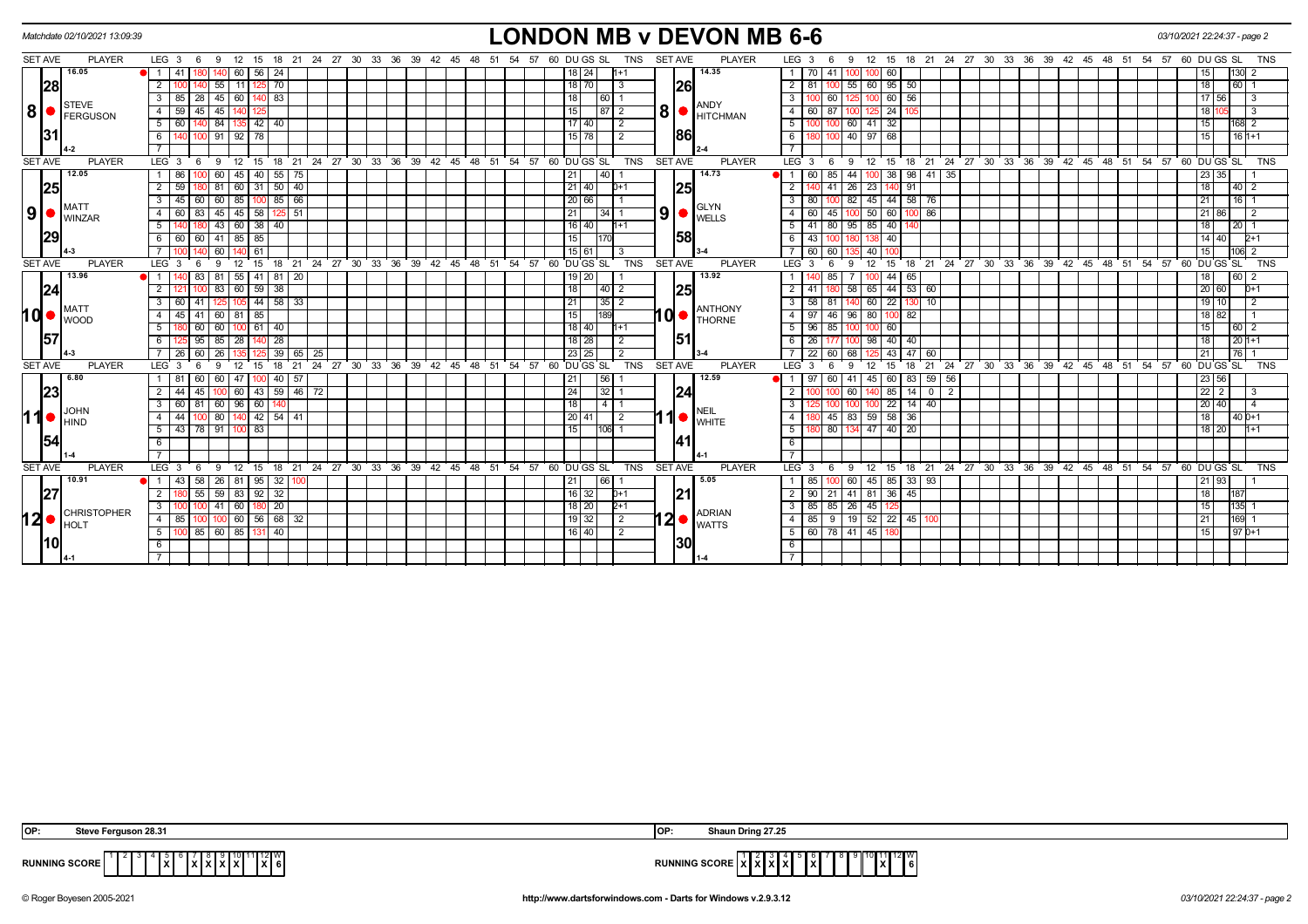|     |                | Matchdate 02/10/2021 13:09:39     |                         |                                               |     |                   |              |         |                      |          |                              |    |    |          |    |     |    |    |                                                            |    |             |                 |               |                |                | <b>LONDON MB v DEVON MB 6-6</b>                                                           |                         |                       |              |                            |              |                 |                 |             |       |    |    |    |                                                              |    |    |    |          | 03/10/2021 22:24:37 - page 2 |             |                       |     |                |            |
|-----|----------------|-----------------------------------|-------------------------|-----------------------------------------------|-----|-------------------|--------------|---------|----------------------|----------|------------------------------|----|----|----------|----|-----|----|----|------------------------------------------------------------|----|-------------|-----------------|---------------|----------------|----------------|-------------------------------------------------------------------------------------------|-------------------------|-----------------------|--------------|----------------------------|--------------|-----------------|-----------------|-------------|-------|----|----|----|--------------------------------------------------------------|----|----|----|----------|------------------------------|-------------|-----------------------|-----|----------------|------------|
|     | <b>SET AVE</b> | <b>PLAYER</b>                     | LEG <sub>3</sub>        |                                               | - 6 | - 9               | 12           | 15      | 18                   | 21       | 24 27                        | 30 | 33 | 36<br>39 | 42 | -45 | 48 | 51 | 54                                                         | 57 | 60 DU GS SL |                 |               | TNS            | <b>SET AVE</b> | <b>PLAYER</b>                                                                             |                         | LEG <sub>3</sub>      | -6           | -9                         | 12           | 15              | 18 21           |             | 24 27 | 30 | 33 | 36 | 39<br>42                                                     | 45 | 48 | 51 | 54       | 57 60 DU GS SL               |             |                       |     |                | <b>TNS</b> |
|     |                | 16.05                             | $\overline{1}$          | 41                                            |     | $140$ 60          |              |         | $56$   24            |          |                              |    |    |          |    |     |    |    |                                                            |    |             | 18 24           |               | $h+1$          |                | 14.35                                                                                     |                         | $1$   70   41         |              |                            | 100 100      | 60              |                 |             |       |    |    |    |                                                              |    |    |    |          |                              |             | 15                    | 130 |                |            |
|     | 28             |                                   | $\overline{2}$          |                                               |     | 55                | - 11         |         | 125 70               |          |                              |    |    |          |    |     |    |    |                                                            |    |             | $18$ 70         |               | 3              | 26             |                                                                                           |                         | $2$  <br>81           |              |                            | 55   60      | $95 \mid 50$    |                 |             |       |    |    |    |                                                              |    |    |    |          |                              |             | 18                    | 60  |                |            |
|     |                |                                   | $\overline{\mathbf{3}}$ | $85 \mid 28 \mid 45 \mid 60 \mid 140 \mid 83$ |     |                   |              |         |                      |          |                              |    |    |          |    |     |    |    |                                                            |    |             | 18              | 60 1          |                |                |                                                                                           |                         | $\overline{3}$        | $100$ 60     |                            | 100          | 60 56           |                 |             |       |    |    |    |                                                              |    |    |    |          |                              |             | 17<br>56 <sup>1</sup> |     | -3             |            |
| 8   |                | <b>I</b> STEVE<br><b>FERGUSON</b> | $\overline{4}$          | 59                                            | 45  | 45                |              |         |                      |          |                              |    |    |          |    |     |    |    |                                                            |    |             | 15              | $\sqrt{87}$ 2 |                |                | <b>ANDY</b><br>$\mathbf{8}$ $\bullet$ $\mathbf{F}$ $\mathbf{F}$ $\mathbf{F}$ $\mathbf{F}$ |                         | 60<br>4               | 87           |                            |              | $\overline{24}$ |                 |             |       |    |    |    |                                                              |    |    |    |          |                              |             | 18 <sup>1</sup>       |     | 3              |            |
|     |                |                                   | 5                       | 60 I                                          |     |                   |              |         | 140 84 135 42 40     |          |                              |    |    |          |    |     |    |    |                                                            |    |             | $17$ 40         |               | $\overline{2}$ |                |                                                                                           |                         | $5 \mid 100 \mid 100$ |              |                            | $60 - 41$    | $\sqrt{32}$     |                 |             |       |    |    |    |                                                              |    |    |    |          |                              |             | 15                    |     | 168 2          |            |
|     | 31             |                                   | 6                       |                                               |     | 91                |              | $92$ 78 |                      |          |                              |    |    |          |    |     |    |    |                                                            |    |             | 15 78           |               | $\overline{2}$ | 186            |                                                                                           | 6                       |                       | 180          |                            | 40 97        | 68              |                 |             |       |    |    |    |                                                              |    |    |    |          |                              |             | 15                    |     | $161+1$        |            |
|     |                |                                   |                         |                                               |     |                   |              |         |                      |          |                              |    |    |          |    |     |    |    |                                                            |    |             |                 |               |                |                |                                                                                           |                         |                       |              |                            |              |                 |                 |             |       |    |    |    |                                                              |    |    |    |          |                              |             |                       |     |                |            |
|     | <b>SET AVE</b> | <b>PLAYER</b>                     | $LEG_3$ 6               |                                               |     | - 9               |              |         |                      |          |                              |    |    |          |    |     |    |    | 12 15 18 21 24 27 30 33 36 39 42 45 48 51 54 57 60 DUGS SL |    |             |                 |               | <b>TNS</b>     | <b>SET AVE</b> | <b>PLAYER</b>                                                                             |                         | $LEG_3$ 6             |              |                            |              |                 |                 |             |       |    |    |    | 9 12 15 18 21 24 27 30 33 36 39 42 45 48 51 54 57 60 DUGS SL |    |    |    |          |                              |             |                       |     |                | TNS        |
|     |                | 12.05                             |                         | 86                                            |     | 60                | 45           | 40 I    | $55$ 75              |          |                              |    |    |          |    |     |    |    |                                                            |    |             | 21              | l 40 l        |                |                | 14.73                                                                                     | $\overline{1}$          | 60                    | 85           | -44 I                      |              | 38              | -98             | 35<br>41    |       |    |    |    |                                                              |    |    |    |          |                              |             | 23 35                 |     |                |            |
|     | <b>25</b>      |                                   | $\overline{2}$          | 59                                            |     | 81                |              |         | 60 31 50 40          |          |                              |    |    |          |    |     |    |    |                                                            |    |             | 21   40         |               | $D+1$          | 25             |                                                                                           |                         | 2                     | 41           |                            | 26 23        | 140             | 91              |             |       |    |    |    |                                                              |    |    |    |          |                              |             | 18                    |     | $40 \mid 2$    |            |
|     |                | IMATT                             | 3                       | 45                                            | 60  | 60   85           |              |         | $100$ 85 66          |          |                              |    |    |          |    |     |    |    |                                                            |    |             | 20 66           |               |                |                |                                                                                           | 3 <sup>7</sup>          | 80                    |              |                            |              |                 | 82 45 44 58 76  |             |       |    |    |    |                                                              |    |    |    |          |                              |             | 21                    |     | $16$ 1         |            |
| 9   |                | <b>WINZAR</b>                     | $\overline{4}$          | 60 l                                          | 83  | 45 45 58          |              |         |                      | $125$ 51 |                              |    |    |          |    |     |    |    |                                                            |    |             | 21              | 34   1        |                |                | $9$ $\bullet$ GLYN                                                                        | $\overline{4}$          | 60                    | 45           |                            | $100 - 50$   | 60              | $100$ 86        |             |       |    |    |    |                                                              |    |    |    |          |                              |             | 21<br>86              |     | $\overline{2}$ |            |
|     |                |                                   | 5                       |                                               |     | 43 60 38 40       |              |         |                      |          |                              |    |    |          |    |     |    |    |                                                            |    |             | $16$   40       |               | $h+1$          |                |                                                                                           |                         | $5 \mid 41$           | 80           |                            | 95 85 40     |                 |                 |             |       |    |    |    |                                                              |    |    |    |          |                              |             | 18                    | 20  |                |            |
|     | 29             |                                   | 6                       | 60 60 41 85 85                                |     |                   |              |         |                      |          |                              |    |    |          |    |     |    |    |                                                            |    |             | 15              |               |                | 58             |                                                                                           |                         | 43<br>6               |              |                            |              | 40              |                 |             |       |    |    |    |                                                              |    |    |    |          |                              |             | 14 40                 |     | 2+1            |            |
|     |                |                                   |                         |                                               |     | 60                |              | 61      |                      |          |                              |    |    |          |    |     |    |    |                                                            |    |             | 15 61           |               | -3             |                |                                                                                           |                         | 60                    | 60           |                            | 40           |                 |                 |             |       |    |    |    |                                                              |    |    |    |          |                              |             | 15                    |     | $\overline{2}$ |            |
|     | <b>SET AVE</b> | <b>PLAYER</b>                     | LEG <sub>3</sub>        |                                               | - 6 | 9                 | 12           | ່ 15    | 18                   |          | $21$ 24 27 30 33 36 39 42 45 |    |    |          |    |     | 48 |    | 51 54 57                                                   |    |             |                 | 60 DU GS SL   | TNS            | <b>SET AVE</b> | <b>PLAYER</b>                                                                             |                         | LEG <sub>3</sub>      | - 6          | 9                          | 12           | ີ 15            |                 |             |       |    |    |    | 18 21 24 27 30 33 36 39 42 45 48 51 54 57 60 DUGS SL         |    |    |    |          |                              |             |                       |     |                | <b>TNS</b> |
|     |                | 13.96                             | $\mathbf{1}$            |                                               | 83  | 81                | $-55$        | 41      | 81                   | -20      |                              |    |    |          |    |     |    |    |                                                            |    |             | 19   20         |               |                |                | 13.92                                                                                     |                         | $\mathbf{1}$          | 85           |                            |              | 44              | -65             |             |       |    |    |    |                                                              |    |    |    |          |                              |             |                       | 60  |                |            |
|     | 24             |                                   | $\overline{2}$          |                                               |     |                   |              |         | 83 60 59 38          |          |                              |    |    |          |    |     |    |    |                                                            |    |             | $\overline{18}$ | $\sqrt{40}$ 2 |                | 25             |                                                                                           |                         | $\overline{2}$<br>41  |              |                            | $58$ 65      |                 | 44 53 60        |             |       |    |    |    |                                                              |    |    |    |          |                              |             | 20 60                 |     | $D+1$          |            |
|     |                | <b>MATT</b>                       | $\overline{3}$          | 60 41                                         |     |                   | l 105        |         | $44$ 58 33           |          |                              |    |    |          |    |     |    |    |                                                            |    |             | 21              | 35 2          |                |                | <b>ANTHONY</b>                                                                            |                         | 3                     | $58$ 81      |                            | 60           | $\overline{22}$ |                 | 10          |       |    |    |    |                                                              |    |    |    |          |                              |             | $19$ 10               |     | $\overline{2}$ |            |
| hd• |                | <b>I</b> wood                     | $\overline{4}$          | $45 \mid 41$                                  |     | 60 81 85          |              |         |                      |          |                              |    |    |          |    |     |    |    |                                                            |    |             | 15              | 189           |                | 10●1           | <b>THORNE</b>                                                                             |                         | 97<br>4 I             | $ 46\rangle$ |                            | 96 80        | $100$ 82        |                 |             |       |    |    |    |                                                              |    |    |    |          |                              |             | $18$ 82               |     |                |            |
|     |                |                                   | 5                       |                                               | 60  | 60                |              | 61      | 40                   |          |                              |    |    |          |    |     |    |    |                                                            |    |             | $18$ 40         |               | $h+1$          |                |                                                                                           |                         | 96<br>-5 I            | 85           |                            | 100          | 60              |                 |             |       |    |    |    |                                                              |    |    |    |          |                              |             | 15                    | 60  | $\overline{2}$ |            |
|     | 157            |                                   | $6\overline{6}$         |                                               | 95  | $85 \mid 28 \mid$ |              |         | $140$ 28             |          |                              |    |    |          |    |     |    |    |                                                            |    |             | $18$   28       |               | $\overline{2}$ | 1511           |                                                                                           |                         | 26<br>6 I             | 177          |                            | 100 98       | 40 40           |                 |             |       |    |    |    |                                                              |    |    |    |          |                              |             | 18                    |     | $201+1$        |            |
|     |                |                                   | $\overline{7}$          | 26 I                                          | 60  | 26                |              |         | 39                   | 65       | 25                           |    |    |          |    |     |    |    |                                                            |    |             | 23 25           |               | 2              |                |                                                                                           |                         | 22                    | 60           | 68                         |              | 43              | 47              | 60          |       |    |    |    |                                                              |    |    |    |          |                              |             | 21                    | 76  |                |            |
|     | <b>SET AVE</b> | <b>PLAYER</b>                     | LEG <sub>3</sub>        |                                               | - 6 | 9                 | 12           | 15      | 18                   | 21       | 24 27 30 33 36 39 42 45      |    |    |          |    |     | 48 |    | 51 54 57                                                   |    | -60         |                 | DU GS SL      | <b>TNS</b>     | <b>SET AVE</b> | <b>PLAYER</b>                                                                             |                         | LEG <sub>3</sub>      |              | $\mathbf{Q}$               | 12           | 15              | 18<br>21        |             |       |    |    |    | 24 27 30 33 36 39 42 45 48                                   |    |    |    | 51 54 57 |                              | 60 DU GS SL |                       |     |                | <b>TNS</b> |
|     |                | 6.80                              |                         | -81                                           | 60  | 60                | 47           |         | 40                   | - 57     |                              |    |    |          |    |     |    |    |                                                            |    |             | 21 <sub>1</sub> | 56            |                |                | 12.59                                                                                     |                         | 97                    | -60          |                            | 45           | 60              | 83              | 59<br>56    |       |    |    |    |                                                              |    |    |    |          |                              |             | 23 56                 |     |                |            |
|     | 23             |                                   | $\overline{2}$          | 44 45                                         |     |                   |              |         | $100$ 60 43 59 46 72 |          |                              |    |    |          |    |     |    |    |                                                            |    |             | 24              | 32 1          |                | 24             |                                                                                           |                         | $\overline{2}$        |              | 60 1                       |              |                 |                 | $85$ 14 0 2 |       |    |    |    |                                                              |    |    |    |          |                              |             | $22 \mid 2$           |     | 3              |            |
|     |                | <b>JOHN</b>                       | $\overline{3}$          | 60 81                                         |     | 60                | $\sqrt{96}$  | 60      |                      |          |                              |    |    |          |    |     |    |    |                                                            |    |             | 18              | 1411          |                |                | NEIL                                                                                      | $\overline{\mathbf{3}}$ |                       |              |                            | IOO          | $\overline{22}$ | - 14 I          | 40          |       |    |    |    |                                                              |    |    |    |          |                              |             | 20 40                 |     | $\overline{4}$ |            |
| 11  |                | Ihind                             | $\overline{4}$          | 44                                            |     |                   |              |         | 100 80 140 42 54 41  |          |                              |    |    |          |    |     |    |    |                                                            |    |             | 20 41           |               | $\sqrt{2}$     |                | <b>1</b> WHITE                                                                            |                         | $\overline{4}$        |              | 180 45 83 59 58 36         |              |                 |                 |             |       |    |    |    |                                                              |    |    |    |          |                              |             | 18                    |     | $40D+1$        |            |
|     |                |                                   | $\overline{5}$          | 43 78 91                                      |     |                   |              | 83      |                      |          |                              |    |    |          |    |     |    |    |                                                            |    |             | 15              | $106$ 1       |                |                |                                                                                           | 5                       |                       | 80           |                            | 134 47       | $\overline{40}$ | $\overline{20}$ |             |       |    |    |    |                                                              |    |    |    |          |                              |             | $18$ 20               |     | $1 + 1$        |            |
|     | 54             |                                   | 6                       |                                               |     |                   |              |         |                      |          |                              |    |    |          |    |     |    |    |                                                            |    |             |                 |               |                | 41             |                                                                                           | 6                       |                       |              |                            |              |                 |                 |             |       |    |    |    |                                                              |    |    |    |          |                              |             |                       |     |                |            |
|     |                |                                   | $\overline{7}$          |                                               |     |                   |              |         |                      |          |                              |    |    |          |    |     |    |    |                                                            |    |             |                 |               |                |                |                                                                                           | $\overline{7}$          |                       |              |                            |              |                 |                 |             |       |    |    |    |                                                              |    |    |    |          |                              |             |                       |     |                |            |
|     | <b>SET AVE</b> | <b>PLAYER</b>                     | LEG <sub>3</sub>        |                                               | - 6 | -9                | 12           | 15      | 18                   |          |                              |    |    |          |    |     |    |    | 21 24 27 30 33 36 39 42 45 48 51 54 57 60 DUGS SL          |    |             |                 |               | TNS            | <b>SET AVE</b> | PLAYER                                                                                    |                         | LEG <sub>3</sub>      | - 6          | 9                          | 12           | 15              |                 |             |       |    |    |    | 18 21 24 27 30 33 36 39 42 45 48 51 54 57 60 DUGS SL         |    |    |    |          |                              |             |                       |     |                | <b>TNS</b> |
|     |                | 10.91                             |                         | 43                                            | 58  |                   |              |         | 26 81 95 32          |          |                              |    |    |          |    |     |    |    |                                                            |    |             | 21              | 66            |                |                | 5.05                                                                                      |                         | 85                    |              |                            | 60 45        | 85              | $33 \mid 93$    |             |       |    |    |    |                                                              |    |    |    |          |                              |             | 21 93                 |     |                |            |
|     | 27             |                                   | $\overline{2}$          |                                               |     |                   |              |         | 30 55 59 83 92 32    |          |                              |    |    |          |    |     |    |    |                                                            |    |             | $16$ 32         |               | $D+1$          | 21             |                                                                                           |                         | $\overline{2}$        | $90$   21    |                            | 41 81 36 45  |                 |                 |             |       |    |    |    |                                                              |    |    |    |          |                              |             | 18                    | 187 |                |            |
|     |                | <b>CHRISTOPHER</b>                | 3                       |                                               |     | 41                | $\boxed{60}$ |         | 180 20               |          |                              |    |    |          |    |     |    |    |                                                            |    |             | 18 20           |               | $2+1$          |                | <b>ADRIAN</b>                                                                             |                         | د                     | $85 \mid 85$ |                            | $26 \mid 45$ |                 |                 |             |       |    |    |    |                                                              |    |    |    |          |                              |             | 15                    | 135 |                |            |
| 12  |                | HOLT                              | $\overline{4}$          | 85                                            |     |                   |              |         | 100 60 56 68 32      |          |                              |    |    |          |    |     |    |    |                                                            |    |             | 19 32           |               | $\sqrt{2}$     |                | $12 \bullet  _{\text{WATTS}}^{\text{ADRININ}}$                                            |                         | 4 I                   |              | 85   9   19   52   22   45 |              |                 |                 |             |       |    |    |    |                                                              |    |    |    |          |                              |             | 21                    |     | 169            |            |
|     |                |                                   | 5                       |                                               |     | 85   60   85      |              |         | $131$ 40             |          |                              |    |    |          |    |     |    |    |                                                            |    |             | 16   40         |               | $\overline{2}$ |                |                                                                                           |                         | 5   60   78           |              |                            | $141$ 45     |                 |                 |             |       |    |    |    |                                                              |    |    |    |          |                              |             | 15                    |     | $97D+1$        |            |
|     | l10l           |                                   | 6                       |                                               |     |                   |              |         |                      |          |                              |    |    |          |    |     |    |    |                                                            |    |             |                 |               |                | <b>130</b>     |                                                                                           | 6                       |                       |              |                            |              |                 |                 |             |       |    |    |    |                                                              |    |    |    |          |                              |             |                       |     |                |            |
|     |                |                                   |                         |                                               |     |                   |              |         |                      |          |                              |    |    |          |    |     |    |    |                                                            |    |             |                 |               |                |                |                                                                                           |                         |                       |              |                            |              |                 |                 |             |       |    |    |    |                                                              |    |    |    |          |                              |             |                       |     |                |            |

| IOP:<br>erguson 28.31<br>Stev                               | 1 27.25<br>lOF<br>≅Drina .             |
|-------------------------------------------------------------|----------------------------------------|
| ⊿ 12∎ W L<br><b>RUNNING SCORE</b><br>.<br>IXG<br>$\sqrt{ }$ | I 12 W<br><b>RUN</b><br>1 SUURE<br>. . |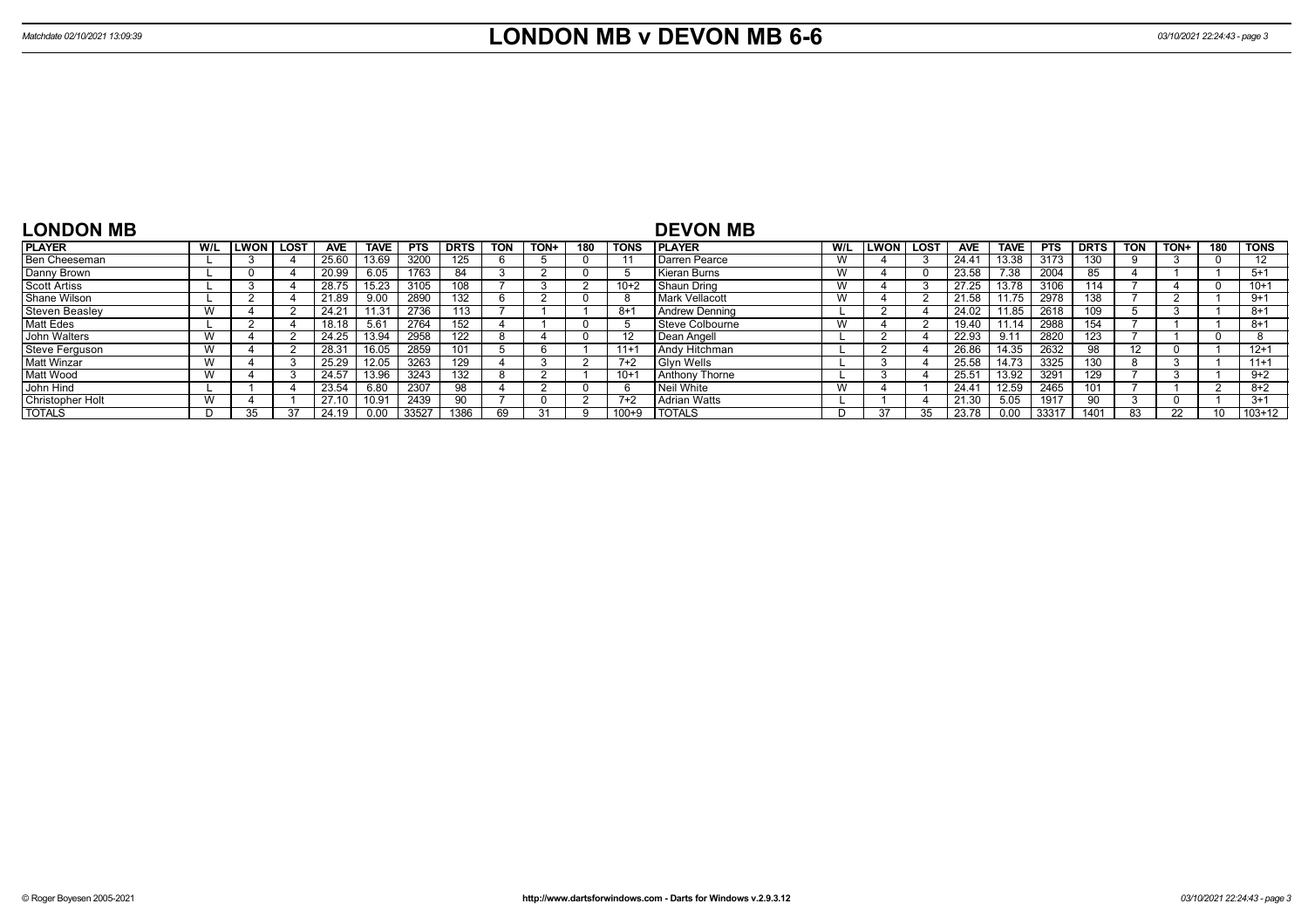| <b>LONDON MB</b>      |     |             |             |            |       |            |             |            |      |     |             | <b>DEVON MB</b>       |     |               |      |                |             |            |             |            |      |                 |          |
|-----------------------|-----|-------------|-------------|------------|-------|------------|-------------|------------|------|-----|-------------|-----------------------|-----|---------------|------|----------------|-------------|------------|-------------|------------|------|-----------------|----------|
| <b>PLAYER</b>         | W/L | <b>LWON</b> | <b>LOST</b> | <b>AVE</b> | TAVE  | <b>PTS</b> | <b>DRTS</b> | <b>TON</b> | TON+ | 180 | <b>TONS</b> | I PLAYER              | W/L | <b>LWON</b> l | LOST | <b>AVE</b>     | <b>TAVE</b> | <b>PTS</b> | <b>DRTS</b> | <b>TON</b> | TON+ | 180             | TONS     |
| Ben Cheeseman         |     |             |             | 25.60      | 3.69  | 3200       | 125         |            |      |     |             | Darren Pearce         |     |               |      | $24.4^{\circ}$ | ،3.38       | 3173       | 130         |            |      | 0               |          |
| Danny Brown           |     |             |             | 20.99      | 6.05  | 1763       | 84          |            |      |     |             | l Kieran Burns        |     |               |      | 23.58          | 7.38        | 2004       | 85          |            |      |                 | $5+1$    |
| <b>Scott Artiss</b>   |     |             |             | 28.75      | 5.23  | 3105       | 108         |            |      |     | 10+2        | Shaun Dring           |     |               |      | 27.25          | 13.78       | 3106       | 114         |            |      | 0               | $10+1$   |
| Shane Wilson          |     |             |             | 21.89      | 9.00  | 2890       | 132         |            |      |     |             | <b>Mark Vellacott</b> |     |               |      | 21.58          | 11.75       | 2978       | 138         |            |      |                 | $9+1$    |
| <b>Steven Beasley</b> |     |             |             | 24.21      |       | 2736       | 113         |            |      |     | $8 + 1$     | Andrew Denning        |     |               |      | 24.02          | 1.85        | 2618       | 109         |            |      |                 | $8+1$    |
| Matt Edes             |     |             |             | 18.18      | 5.61  | 2764       | 152         |            |      |     |             | Steve Colbourne       |     |               |      | 19.40          | 11.14       | 2988       | 154         |            |      |                 | $8+1$    |
| John Walters          |     |             |             | 24.25      | 13.94 | 2958       | 122         |            |      |     |             | l Dean Angell         |     |               |      | 22.93          | 9.11        | 2820       | 123         |            |      | $\Omega$        |          |
| Steve Ferguson        |     |             |             | 28.31      | 16.05 | 2859       | 101         |            |      |     | $11+1$      | l Andv Hitchman.      |     |               |      | 26.86          | 14.35       | 2632       | 98          |            |      |                 | $12+1$   |
| <b>Matt Winzar</b>    |     |             |             | 25.29      | 12.05 | 3263       | 129         |            |      |     | $7+2$       | <b>Glvn Wells</b>     |     |               |      | 25.58          | 14.73       | 3325       | 130         |            |      |                 | $11+1$   |
| Matt Wood             |     |             |             | 24.57      | 13.96 | 3243       | 132         |            |      |     | $10+1$      | <b>Anthony Thorne</b> |     |               |      | $25.5^{\circ}$ | 13.92       | 3291       | 129         |            |      |                 | $9+2$    |
| John Hind             |     |             |             | 23.54      | 6.80  | 2307       | 98          |            |      |     |             | l Neil White          |     |               |      | $24.4^{\circ}$ | 12.59       | 2465       | 101         |            |      | $\overline{ }$  | $8+2$    |
| Christopher Holt      |     |             |             | 27.10      | 10.91 | 2439       | 90          |            |      |     | $7+2$       | <b>Adrian Watts</b>   |     |               |      | 21.30          | 5.05        | 1917       |             |            |      |                 | $3+1$    |
| <b>TOTALS</b>         |     | 35          |             | 24.19      | 0.00  | 33527      | 1386        |            |      |     | $100 + 9$   | <b>TOTALS</b>         |     |               |      | 23.78          | 0.00        | 33317      | 1401        | 83         | 22   | 10 <sup>1</sup> | $103+12$ |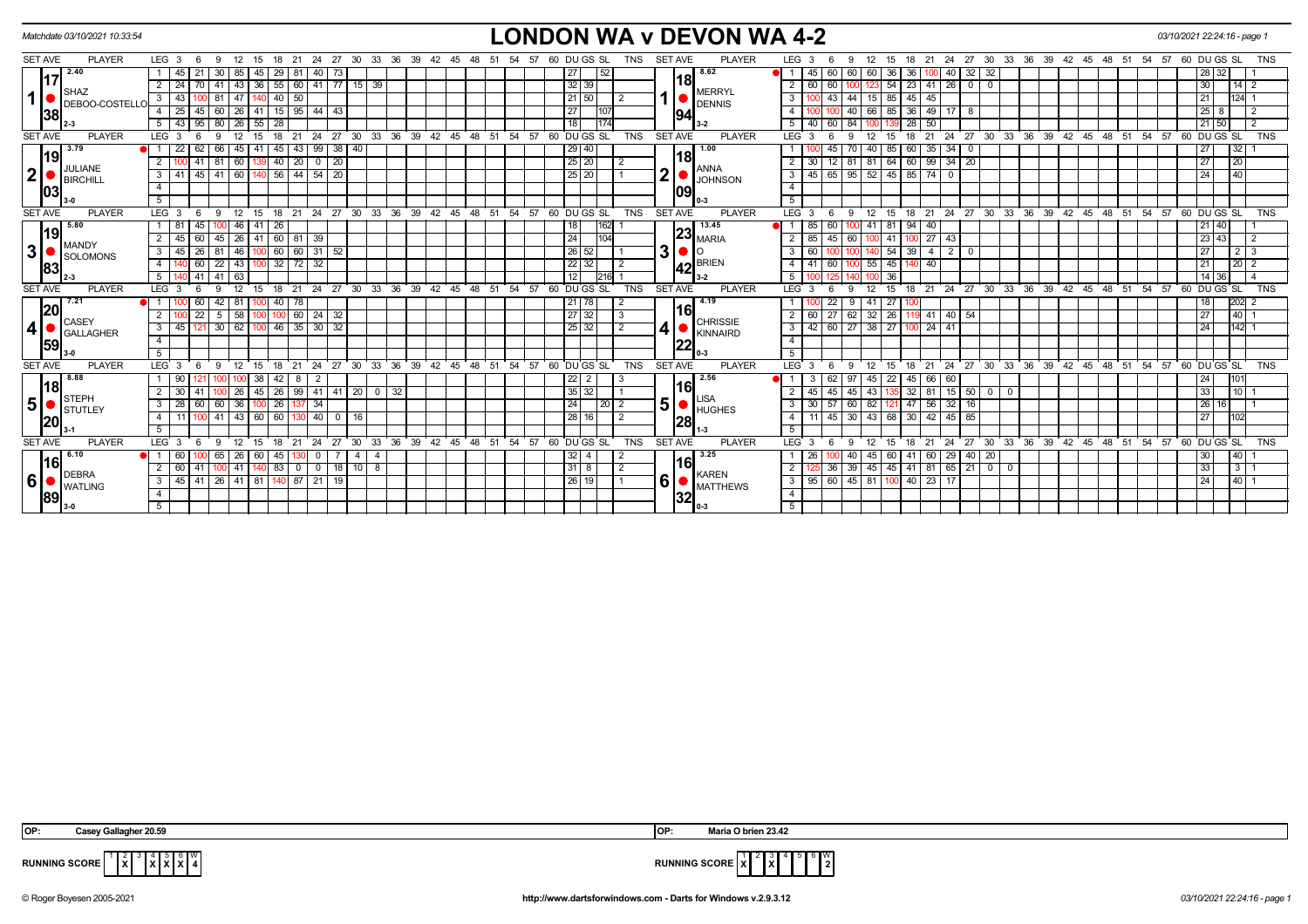|                |           | Matchdate 03/10/2021 10:33:54 |                  |                 |              |                   |                 |        |                                                            |                   |                                                                  |             |                      |             |      |    |                               |    |    |    |                                       |                 |             |                |            |                |      | <b>LONDON WA v DEVON WA 4-2</b> |        |                           |          |                       |               |        |                 |                                          |                          |                |    |    |                            |       |            |      |             |                 | 03/10/2021 22:24:16 - page 1                         |                 |            |
|----------------|-----------|-------------------------------|------------------|-----------------|--------------|-------------------|-----------------|--------|------------------------------------------------------------|-------------------|------------------------------------------------------------------|-------------|----------------------|-------------|------|----|-------------------------------|----|----|----|---------------------------------------|-----------------|-------------|----------------|------------|----------------|------|---------------------------------|--------|---------------------------|----------|-----------------------|---------------|--------|-----------------|------------------------------------------|--------------------------|----------------|----|----|----------------------------|-------|------------|------|-------------|-----------------|------------------------------------------------------|-----------------|------------|
| <b>SET AVE</b> |           | <b>PLAYER</b>                 | LEG <sub>3</sub> |                 | 6            | - 9               |                 |        | 18                                                         | 21                | -24                                                              | 27          | 30                   | 33          | - 36 | 39 | 42<br>- 45                    | 48 |    |    | 57                                    |                 | 60 DU GS SL |                | TNS        | <b>SET AVE</b> |      | <b>PLAYER</b>                   |        | LEG <sub>3</sub>          |          |                       | 12            | 15     |                 | 24                                       | 27                       | 30             | 33 | 36 | 39                         | 42 45 | 48         | - 51 | -54<br>- 57 |                 | 60 DU GS SL                                          |                 | <b>TNS</b> |
|                | 117       | 2.40                          |                  |                 |              |                   |                 |        | 29                                                         | -81               |                                                                  |             |                      |             |      |    |                               |    |    |    |                                       | 27              | 52          |                |            |                |      | 8.62                            |        |                           | 45       | 60                    | 60            | 36     | 36              | 40                                       | 32                       | 32             |    |    |                            |       |            |      |             |                 |                                                      |                 |            |
|                |           | <b>SHAZ</b>                   |                  |                 |              | 41                | 43 36           |        | 55 60 41 77 15 39                                          |                   |                                                                  |             |                      |             |      |    |                               |    |    |    |                                       | 32 39           |             |                |            |                | 18   | <b>MERRYL</b>                   |        | $\overline{2}$            | 60       | 60                    |               | 54     | $23 \mid 41$    | 26                                       | $\overline{\phantom{0}}$ | $\overline{0}$ |    |    |                            |       |            |      |             | 30              |                                                      | $14$ 2          |            |
| $\mathbf{1}$   |           | DEBOO-COSTELLC                | 3 <sup>1</sup>   | 43              |              | 00181             | 47              |        | 40                                                         | 50                |                                                                  |             |                      |             |      |    |                               |    |    |    |                                       | 21 50           |             | $\overline{2}$ |            |                |      | <b>DENNIS</b>                   |        | $\overline{\phantom{a}3}$ |          | 43                    | 44 15 85      |        | $45 \mid 45$    |                                          |                          |                |    |    |                            |       |            |      |             | 21              |                                                      | $124 - 1$       |            |
|                | 38        |                               | $\overline{4}$   | 25 <sub>1</sub> | 45           | 60                | 26              | 41 I   | 15   95   44   43                                          |                   |                                                                  |             |                      |             |      |    |                               |    |    |    |                                       | $\overline{27}$ |             |                |            |                | 94   |                                 |        | 4                         |          | 40 l                  | 66            | 85     |                 | $36$   49   17   8                       |                          |                |    |    |                            |       |            |      |             | 25              | 8                                                    |                 |            |
|                |           |                               | 5                | $43$   95       |              | 80                | 26              | l 55 l | 28                                                         |                   |                                                                  |             |                      |             |      |    |                               |    |    |    |                                       | 18              |             | 174            |            |                |      |                                 |        | 5   40                    |          | 60<br>84              |               |        | $\overline{28}$ | 50                                       |                          |                |    |    |                            |       |            |      |             |                 | $21 \overline{50}$                                   | $\overline{2}$  |            |
| <b>SET AVE</b> |           | <b>PLAYER</b>                 | LEG <sup>3</sup> |                 | - 6          | -9                | 12              | 15     | 18                                                         | $^{\circ}$ 21     | 24                                                               | 27 30       |                      |             |      |    | $33$ $36$ $39$ $42$ $45$ $48$ |    |    |    | 51 54 57 60 DU GS SL                  |                 |             |                | TNS        | <b>SET AVE</b> |      | <b>PLAYER</b>                   |        | $LEG \ 3$                 |          | Q                     | 12            | 15     | 18              | $^{\circ}$ 21                            |                          |                |    |    |                            |       |            |      |             |                 | 24 27 30 33 36 39 42 45 48 51 54 57 60 DUGS SL       |                 | <b>TNS</b> |
|                | 19        | 3.79                          |                  |                 |              | 66                | 45              |        | 45                                                         | 43                | $\sqrt{99}$                                                      | 38 40       |                      |             |      |    |                               |    |    |    |                                       | 29 40           |             |                |            |                | 18   | 1.00                            |        |                           |          | 45                    | 40            | 85     |                 |                                          |                          |                |    |    |                            |       |            |      |             | 27              |                                                      | 32              |            |
|                |           | JULIANE                       | $\overline{2}$   |                 | $41$ 81      |                   | 60              |        | 40                                                         | 20                | $\begin{array}{ c c c c c } \hline 0 & 20 \\ \hline \end{array}$ |             |                      |             |      |    |                               |    |    |    |                                       | 25 20           |             | -2             |            |                |      | <b>ANNA</b>                     |        | 2 30                      |          | 12                    | 81 81         | 64     |                 | $60 \mid 99 \mid 34 \mid 20$             |                          |                |    |    |                            |       |            |      |             | 27              | 20                                                   |                 |            |
| $2\vert$       |           | BIRCHILL                      | 3                | 41              | $45 \mid 41$ |                   |                 |        | 60 140 56 44                                               |                   | $54$ 20                                                          |             |                      |             |      |    |                               |    |    |    |                                       | $25$ 20         |             |                |            | $\mathbf 2$    |      | <b>JOHNSON</b>                  |        | $\overline{\phantom{a}3}$ | 45       | 65 95 52 45 85 74     |               |        |                 | $\overline{0}$                           |                          |                |    |    |                            |       |            |      |             | 24              | 40                                                   |                 |            |
|                | 03        |                               | $\overline{4}$   |                 |              |                   |                 |        |                                                            |                   |                                                                  |             |                      |             |      |    |                               |    |    |    |                                       |                 |             |                |            |                | 109  |                                 |        | 4 <sup>1</sup>            |          |                       |               |        |                 |                                          |                          |                |    |    |                            |       |            |      |             |                 |                                                      |                 |            |
|                |           |                               | 5                |                 |              |                   |                 |        |                                                            |                   |                                                                  |             |                      |             |      |    |                               |    |    |    |                                       |                 |             |                |            |                |      |                                 |        | $5-1$                     |          |                       |               |        |                 |                                          |                          |                |    |    |                            |       |            |      |             |                 |                                                      |                 |            |
| <b>SET AVE</b> |           | PLAYER                        | LEG <sub>3</sub> |                 | - 6          | - 9               |                 |        | 12 15 18 21 24 27 30 33 36 39 42 45 48 51 54 57 60 DUGS SL |                   |                                                                  |             |                      |             |      |    |                               |    |    |    |                                       |                 |             |                | <b>TNS</b> | <b>SET AVE</b> |      | <b>PLAYER</b>                   |        | LEG <sub>3</sub>          |          | -9<br>- 6             | 12            | 15     |                 |                                          |                          |                |    |    |                            |       |            |      |             |                 | 18 21 24 27 30 33 36 39 42 45 48 51 54 57 60 DUGS SL |                 | <b>TNS</b> |
|                | 19        | 5.80                          | 1   81           |                 | 45 I         | 100               | 46 41 26        |        |                                                            |                   |                                                                  |             |                      |             |      |    |                               |    |    |    |                                       | 18              |             | 162            |            |                |      | 13.45                           | ●I 1 I |                           | 85       | 60                    | -41           | 81     | $94 \mid 40$    |                                          |                          |                |    |    |                            |       |            |      |             |                 | $21 \overline{40}$                                   |                 |            |
|                |           | <b>MANDY</b>                  | 2                |                 | 45 60        |                   |                 |        | 45   26   41   60   81   39                                |                   |                                                                  |             |                      |             |      |    |                               |    |    |    |                                       | 24              |             | 104            |            |                |      | $23_{\text{MARIA}}$             |        | $2 \mid 85$               |          | 45 <br>60             |               | 100 41 |                 | 100 27 43                                |                          |                |    |    |                            |       |            |      |             |                 | $23 \mid 43$                                         | l 2             |            |
| 3              |           | SOLOMONS                      | $\mathbf{3}$     | 45   26   81    |              |                   | 46              |        | 100 60 60 31 52                                            |                   |                                                                  |             |                      |             |      |    |                               |    |    |    |                                       | 26 52           |             |                |            | 3 <sup>1</sup> |      |                                 |        |                           |          |                       |               |        | $54$ 39 4       |                                          | $2\sqrt{0}$              |                |    |    |                            |       |            |      |             | 27              |                                                      | $2 \mid 3$      |            |
|                | 83        |                               | $\overline{4}$   |                 | 60 I         | $22 \mid 43 \mid$ |                 |        | $100$ 32 72 32                                             |                   |                                                                  |             |                      |             |      |    |                               |    |    |    |                                       | 22 32           |             | -2             |            |                | 42   | <b>BRIEN</b>                    |        | 4   41                    |          | 60                    | 100 55 45     |        | $140$ 40        |                                          |                          |                |    |    |                            |       |            |      |             | 21              |                                                      | 20 <sup>2</sup> |            |
|                |           |                               | 5                |                 |              | $41$ 41 63        |                 |        |                                                            |                   |                                                                  |             |                      |             |      |    |                               |    |    |    |                                       | 12              |             | 216            |            |                |      |                                 |        |                           |          |                       |               | 36     |                 |                                          |                          |                |    |    |                            |       |            |      |             | 14              | 36                                                   | l 4             |            |
| <b>SET AVE</b> |           | <b>PLAYER</b>                 | LEG <sub>3</sub> |                 |              |                   | 12              | 15     | 18                                                         |                   | $21 \quad 24 \quad 27$                                           |             | 30 33 36 39 42 45 48 |             |      |    |                               |    |    |    | 51 54 57                              |                 | 60 DUGS SL  |                | TNS        | SET AVE        |      | <b>PLAYER</b>                   |        | LEG <sub>3</sub>          |          |                       | 12            | 15     | $18 \quad 21$   |                                          | 24 27 30                 |                |    |    | 33 36 39 42 45 48 51 54 57 |       |            |      |             |                 | 60 DU GS SL                                          |                 | <b>TNS</b> |
|                | 20        | 7.21                          |                  |                 |              | 42                | 81              |        | 40                                                         | 78                |                                                                  |             |                      |             |      |    |                               |    |    |    |                                       | $21$ 78         |             | 2              |            |                | l16l | 4.19                            |        |                           |          | 22                    |               | 27     |                 |                                          |                          |                |    |    |                            |       |            |      |             |                 |                                                      | $202$ 2         |            |
|                |           | <b>CASEY</b>                  | 2                |                 |              | 5                 | 58              |        |                                                            | 60                | 24                                                               | 32          |                      |             |      |    |                               |    |    |    |                                       | 27 32           |             | -3             |            |                |      | <b>CHRISSIE</b>                 |        | $2 \mid 60$               |          | 27                    | $62 \mid 32$  | 26     | 119 41          |                                          | $40$ 54                  |                |    |    |                            |       |            |      |             | 27              |                                                      | 40              |            |
| 4              |           | <b>GALLAGHER</b>              | 3                | 45              |              | 30                | 62              |        | 46                                                         | $35 \mid 30 \mid$ |                                                                  | 32          |                      |             |      |    |                               |    |    |    |                                       | $25 \mid 32$    |             | $\overline{2}$ |            | 4              |      | KINNAIRD                        |        | $3 \mid 42$               |          | 60                    |               |        |                 | 27 38 27 100 24 41                       |                          |                |    |    |                            |       |            |      |             | 24              |                                                      | $142 - 1$       |            |
|                | 59        |                               | $\overline{4}$   |                 |              |                   |                 |        |                                                            |                   |                                                                  |             |                      |             |      |    |                               |    |    |    |                                       |                 |             |                |            |                | 22   |                                 |        | 4                         |          |                       |               |        |                 |                                          |                          |                |    |    |                            |       |            |      |             |                 |                                                      |                 |            |
|                |           |                               | $5\overline{)}$  |                 |              |                   |                 |        |                                                            |                   |                                                                  |             |                      |             |      |    |                               |    |    |    |                                       |                 |             |                |            |                |      |                                 |        | 5                         |          |                       |               |        |                 |                                          |                          |                |    |    |                            |       |            |      |             |                 |                                                      |                 |            |
| <b>SET AVE</b> |           | <b>PLAYER</b>                 | <b>LEG</b>       |                 |              |                   |                 |        | 18                                                         |                   | 24                                                               | 27          | 30                   | 33          | 36   | 39 | $42 \quad 45$                 | 48 | 51 | 54 | 57                                    |                 | 60 DU GS SL |                | <b>TNS</b> | <b>SET AVE</b> |      | <b>PLAYER</b>                   |        | LEG 3                     |          | ۹                     | 12            | 15     | 18              | 24<br>21                                 | 27                       | $30^{\circ}$   | 33 | 36 | 39                         | 42 45 | $48 \t 51$ |      | 54 57       |                 | 60 DU GS SL                                          |                 | TNS        |
|                | 18        | 8.88                          |                  | 90 I            |              |                   |                 | -38    | 42                                                         | - 8               |                                                                  |             |                      |             |      |    |                               |    |    |    |                                       |                 |             | - 3            |            |                | 161  | 2.56                            |        |                           | - 3      | 62<br>97              | 45            | 22     | $45 \mid 66$    | 60                                       |                          |                |    |    |                            |       |            |      |             | 24              |                                                      |                 |            |
|                |           | STEPH                         |                  |                 |              |                   | 26 <sup>2</sup> | -45 I  | 26                                                         |                   |                                                                  | 99 41 41 20 |                      | $0 \mid 32$ |      |    |                               |    |    |    |                                       | 35 32           |             |                |            |                |      | LISA                            |        |                           |          | 45<br>45              | 43            |        | $32 \mid 81$    |                                          | $15$ 50 0 0              |                |    |    |                            |       |            |      |             | 33              |                                                      | 10              |            |
| 5              |           | STUTLEY                       | $\mathbf{3}$     | 28 60 60        |              |                   | 36   100   26   |        |                                                            | 137 34            |                                                                  |             |                      |             |      |    |                               |    |    |    |                                       | 24              |             | $\sqrt{20}$ 2  |            | 5 <sup>1</sup> |      | HUGHES                          |        | 3   30                    | 57       |                       | 60 82         | 121    |                 | 47 56 32 16                              |                          |                |    |    |                            |       |            |      |             | 26              | 16                                                   |                 |            |
|                | 20        |                               | 4                | 11 100 41       |              |                   | 43 60 60        |        |                                                            | 130               |                                                                  | 40 0 16     |                      |             |      |    |                               |    |    |    |                                       | 28 16           |             | $\overline{2}$ |            |                | 28   |                                 |        | 4   11                    |          | 45                    | $30 \quad 43$ | 68     |                 | $30 \mid 42 \mid 45 \mid 85$             |                          |                |    |    |                            |       |            |      |             | $\overline{27}$ |                                                      | 102             |            |
|                |           |                               | 5                |                 |              |                   |                 |        |                                                            |                   |                                                                  |             |                      |             |      |    |                               |    |    |    |                                       |                 |             |                |            |                |      |                                 |        | 5                         |          |                       |               |        |                 |                                          |                          |                |    |    |                            |       |            |      |             |                 |                                                      |                 |            |
| <b>SET AVE</b> |           | <b>PLAYER</b>                 | LEG <sub>3</sub> |                 | 6            | - 9               | 12              | - 15   | 18                                                         | 21                | -24                                                              | 27          | 30                   |             |      |    |                               |    |    |    | 33 36 39 42 45 48 51 54 57 60 DUGS SL |                 |             |                | <b>TNS</b> | SET AVE        |      | <b>PLAYER</b>                   |        | $LEG^3$ 3                 |          | 9<br>-6               | 12            | 15     | 18              | 24<br>-21                                | 27                       |                |    |    | 30 33 36 39 42 45 48 51    |       |            |      | 54.57       |                 | 60 DU GS SL                                          |                 | <b>TNS</b> |
|                | <b>16</b> | 6.10                          |                  | 60              |              | 65                | 26              | 60     | 45                                                         | 130               | $\mathbf{0}$                                                     |             | 4                    | 4           |      |    |                               |    |    |    |                                       | $32 \mid 4$     |             |                |            |                | l16l | 3.25                            |        | 1   26                    |          | 40 I                  | 45            | 60     |                 | 41 60 29 40 20                           |                          |                |    |    |                            |       |            |      |             | 30              | 40                                                   |                 |            |
|                |           | <b>DEBRA</b>                  | $\overline{2}$   | 60 41           |              |                   | 41   140   83   |        |                                                            | $\overline{0}$    |                                                                  | $0$ 18 10   |                      | 8           |      |    |                               |    |    |    |                                       | 31 8            |             | $\overline{2}$ |            |                |      | <b>KAREN</b>                    |        | $\overline{2}$            | $125$ 36 |                       |               |        |                 | 39   45   45   41   81   65   21   0   0 |                          |                |    |    |                            |       |            |      |             | 33              |                                                      | $3 \mid 1$      |            |
| 6              |           | <b>WATLING</b>                | $\mathbf{3}$     |                 |              |                   |                 |        | 45 41 26 41 81 140 87 21 19                                |                   |                                                                  |             |                      |             |      |    |                               |    |    |    |                                       | 26 19           |             |                |            | '6l            |      | MATTHEWS                        |        |                           |          | 3   95   60   45   81 |               | 100    |                 | $40$ 23 17                               |                          |                |    |    |                            |       |            |      |             | 24              |                                                      | $\boxed{40}$ 1  |            |
|                | 89        |                               | $\overline{4}$   |                 |              |                   |                 |        |                                                            |                   |                                                                  |             |                      |             |      |    |                               |    |    |    |                                       |                 |             |                |            |                | 32   |                                 |        | 4                         |          |                       |               |        |                 |                                          |                          |                |    |    |                            |       |            |      |             |                 |                                                      |                 |            |
|                |           |                               | 5                |                 |              |                   |                 |        |                                                            |                   |                                                                  |             |                      |             |      |    |                               |    |    |    |                                       |                 |             |                |            |                |      |                                 |        | 5                         |          |                       |               |        |                 |                                          |                          |                |    |    |                            |       |            |      |             |                 |                                                      |                 |            |

**X**  $3 \mid 4$ **X X X** | 4



**RUNNING SCORE**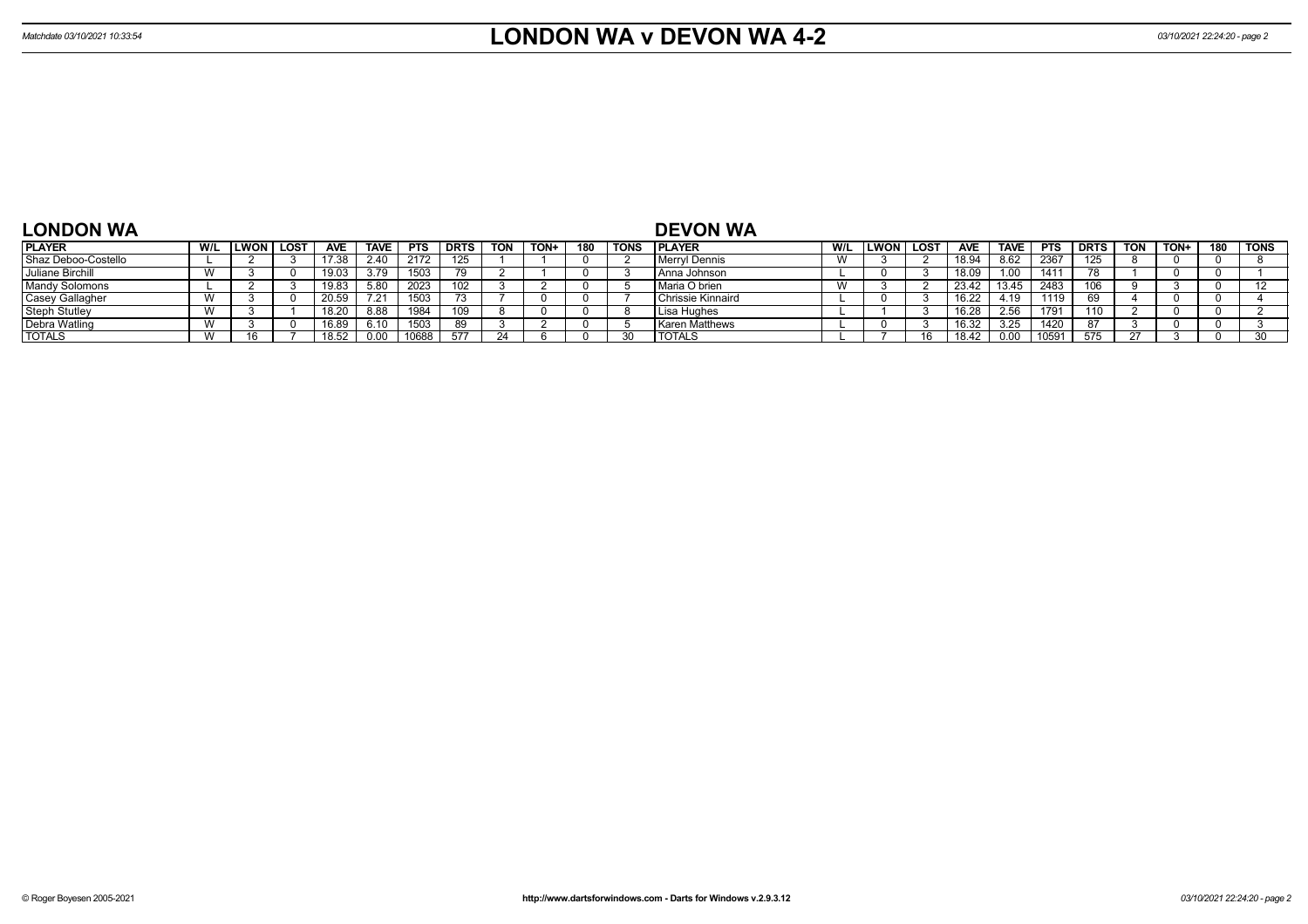| <b>LONDON WA</b>      |     |      |             |            |             |            |             |            |      |     |             | <b>DEVON WA</b>          |              |      |             |            |                |            |             |            |             |     |             |
|-----------------------|-----|------|-------------|------------|-------------|------------|-------------|------------|------|-----|-------------|--------------------------|--------------|------|-------------|------------|----------------|------------|-------------|------------|-------------|-----|-------------|
| <b>PLAYER</b>         | W/L | ∟WON | <b>LOST</b> | <b>AVE</b> | <b>TAVE</b> | <b>PTS</b> | <b>DRTS</b> | <b>TON</b> | TON+ | 180 | <b>TONS</b> | <b>IPLAYER</b>           | W/L          | LWON | <b>LOST</b> | <b>AVE</b> | <b>TAVE</b>    | <b>PTS</b> | <b>DRTS</b> | <b>TON</b> | <b>TON+</b> | 180 | <b>TONS</b> |
| Shaz Deboo-Costello   |     |      |             | 17.38      | 2.40        | 2172       | 125         |            |      |     |             | Merryl Dennis            | $\mathbf{M}$ |      |             | 18.94      | 8.62           | 2367       | 125         |            |             |     |             |
| Juliane Birchill      | 1.0 |      |             | 19.03      | 3.79        | 1503       |             |            |      |     |             | I Anna Johnson           |              |      |             | 18.09      |                | 141        |             |            |             |     |             |
| <b>Mandy Solomons</b> |     |      |             | 19.83      | 5.80        | 2023       | 102         |            |      |     |             | l Maria O brien          | $\lambda$    |      |             | 23.42      |                | 2483       |             |            |             |     | 12          |
| Casey Gallagher       |     |      |             | 20.59      |             | 1503       |             |            |      |     |             | <b>Chrissie Kinnaird</b> |              |      |             | 16.22      | 110.           | 1119       |             |            |             |     |             |
| <b>Steph Stutley</b>  |     |      |             | 18.20      | 8.88        | 1984       | 109         |            |      |     |             | I Lisa Hughes            |              |      |             | 16.28      | 2.56           | 1791       | 110         |            |             |     |             |
| Debra Watling         |     |      |             | 16.89      | 6.10        | 1503       | 89          |            |      |     |             | <b>Karen Matthews</b>    |              |      |             | 16.32      | 3.25           | 1420       |             |            |             |     |             |
| <b>TOTALS</b>         |     |      |             | 18.52      |             | 10688      | 577         |            |      |     |             | <b>TOTALS</b>            |              |      |             | 18.42      | $0.0^{\prime}$ | 059        |             |            |             |     |             |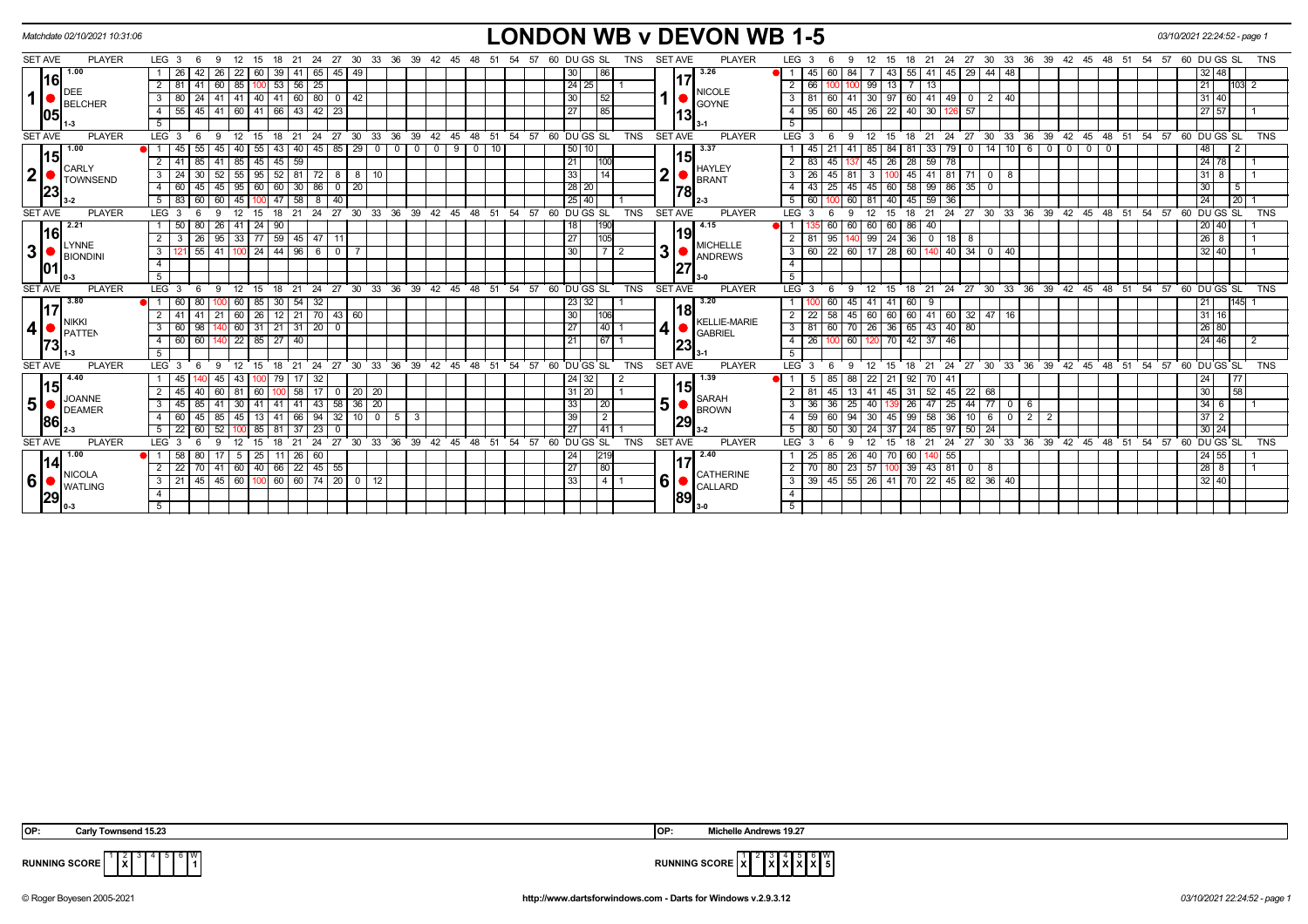| Matchdate 02/10/2021 10:31:06     |               |                         |       |                             |                            |                                  |                      |                 |                               |                        |                            |              |                |          |                  |         |    |                   |                 |            |                |     | <b>LONDON WB v DEVON WB 1-5</b> |                           |                  |                              |                   |                    |              |                      |                   |                    |                    |            |                                           |             |               |                    | 03/10/2021 22:24:52 - page 1 |                    |                   |                 |            |
|-----------------------------------|---------------|-------------------------|-------|-----------------------------|----------------------------|----------------------------------|----------------------|-----------------|-------------------------------|------------------------|----------------------------|--------------|----------------|----------|------------------|---------|----|-------------------|-----------------|------------|----------------|-----|---------------------------------|---------------------------|------------------|------------------------------|-------------------|--------------------|--------------|----------------------|-------------------|--------------------|--------------------|------------|-------------------------------------------|-------------|---------------|--------------------|------------------------------|--------------------|-------------------|-----------------|------------|
| <b>SET AVE</b>                    | <b>PLAYER</b> | LEG <sub>3</sub>        | - 6   | - 12<br>9                   |                            | 15 18 21 24 27 30 33 36 39 42 45 |                      |                 |                               |                        |                            |              |                | 48       |                  | 51 54   | 57 | 60 DU GS SL       |                 | TNS        | <b>SET AVE</b> |     | <b>PLAYER</b>                   |                           | LEG <sub>3</sub> | -9                           |                   |                    |              |                      |                   |                    |                    |            | 12 15 18 21 24 27 30 33 36 39 42 45 48 51 |             |               | 54<br>57           |                              | 60 DU GS SL        |                   |                 | TNS        |
| 1.00                              |               | 26                      | 42    | 26                          | 60<br>22                   | 39                               | 41 I                 | 65              | $45 \overline{49}$            |                        |                            |              |                |          |                  |         |    | 30 <sup>°</sup>   | 86 ا            |            |                |     | 3.26                            |                           | 45               | 60                           | 84                | 43                 | 55 41        |                      | 45                | $29$   44   48     |                    |            |                                           |             |               |                    |                              |                    | $32 \mid 48$      |                 |            |
| 1161<br>DEE                       |               | $\overline{2}$<br>81    | 41    | 60 85                       | 1001                       |                                  | 53   56   25         |                 |                               |                        |                            |              |                |          |                  |         |    | 24 25             |                 |            |                |     | <b>NICOLE</b>                   | $\overline{2}$            | 66               |                              |                   | 99 13              |              | $\overline{13}$      |                   |                    |                    |            |                                           |             |               |                    |                              | 21                 |                   | 103<br>2        |            |
| 1 <sup>1</sup><br>BELCHER         |               | $\mathbf{3}$<br>80 I    | 24    | 41   41                     |                            | $140$   41                       | 60 80                |                 | $0 \mid 42$                   |                        |                            |              |                |          |                  |         |    | 30 <sup>1</sup>   | l 52            |            |                |     | <b>GOYNE</b>                    |                           | 3   81           | 60                           | 41 30 97          |                    | 60   41      |                      | $49$ 0            |                    | $2 \mid 40$        |            |                                           |             |               |                    |                              | $31$ 40            |                   |                 |            |
| 105                               |               | 55<br>$\overline{4}$    | 45    | $41$ 60                     |                            | 41 66 43 42                      |                      |                 | -23                           |                        |                            |              |                |          |                  |         |    | 27                | 185             |            |                | 113 |                                 | 4 I                       | 95               | 60                           | 45                | $26 \mid 22$       | $40$ 30      |                      | $-57$             |                    |                    |            |                                           |             |               |                    |                              | 27 57              |                   |                 |            |
|                                   |               | 5                       |       |                             |                            |                                  |                      |                 |                               |                        |                            |              |                |          |                  |         |    |                   |                 |            |                |     |                                 | 5                         |                  |                              |                   |                    |              |                      |                   |                    |                    |            |                                           |             |               |                    |                              |                    |                   |                 |            |
| <b>SET AVE</b>                    | <b>PLAYER</b> | LEG <sub>3</sub>        |       | 9                           | 12<br>15                   | 18                               | 21                   | 24              | 27                            | $30\quad 33$           | 36                         | 39           | $42^{\circ}$   | 45       | 48 51 54         |         | 57 | 60 DUGS SL        |                 | <b>TNS</b> | <b>SET AVE</b> |     | <b>PLAYER</b>                   |                           | $LEG^{\prime}$ 3 | -9                           | 12                | 15                 | 18           | 21<br>24             | 27                | ີ 30 ີ             | ີ 33               | 36         | 39 42                                     | 45          | $48 \t51$     | $54$ 57 60 DUGS SL |                              |                    |                   |                 | <b>TNS</b> |
| 1.00<br>115                       |               |                         | 55    |                             | 55                         | 43                               | 40 l                 | 45              | 85<br>29                      | $\overline{0}$         | $\mathbf 0$                | $^{\circ}$   | 0 <sup>1</sup> | 9        | $^{\circ}$<br>10 |         |    | 50                |                 |            |                |     | 3.37                            |                           |                  |                              | 85                | 84                 |              | 33                   | 79<br>$\Omega$    |                    | $14$ 10            | 6          | $\Omega$<br>$\mathbf{0}$                  | $\mathbf 0$ | $\Omega$      |                    |                              | 48                 | $\vert$ 2         |                 |            |
| <b>CARLY</b>                      |               | $2 \mid 41$             | 85    | $41 \mid 85$                |                            | $45 \mid 45 \mid 59$             |                      |                 |                               |                        |                            |              |                |          |                  |         |    | 21                | 1100            |            |                | 15  | <b>HAYLEY</b>                   | $\overline{2}$            | 83               | 45 137                       |                   | $45 \overline{26}$ | 28   59      |                      | 78                |                    |                    |            |                                           |             |               |                    |                              |                    | $24$ 78           | l 1             |            |
| 2 <sup>1</sup><br><b>TOWNSEND</b> |               | $\mathbf{3}$<br>24      | 30    | $52$ 55                     | 95                         |                                  | $52$ 81 72           |                 | $8 \mid 8$                    | 10                     |                            |              |                |          |                  |         |    | 33                | $\overline{14}$ |            | $\mathbf 2$    |     | <b>BRANT</b>                    |                           | $3 \mid 26$      | 45<br>$\overline{81}$        | 3 <sup>1</sup>    | 100                |              |                      | 45 41 81 71 0 8   |                    |                    |            |                                           |             |               |                    |                              |                    | $31$ 8            |                 |            |
| 23                                |               | 60 l<br>4               | 45    | $45 \mid 95 \mid$           | 60                         |                                  | $60$ 30 86           |                 | $\overline{0}$<br>$\sqrt{20}$ |                        |                            |              |                |          |                  |         |    | 28 20             |                 |            |                | 178 |                                 | 4 I                       | 43               | $25 \mid 45$                 |                   | 45 60              |              | 58 99 86             |                   | $35$ 0             |                    |            |                                           |             |               |                    |                              | 30 <sup>1</sup>    | $\sqrt{5}$        |                 |            |
|                                   |               | 5<br>83                 | 60    | 60                          | l 45                       | 47                               | 58                   | 8               | 40                            |                        |                            |              |                |          |                  |         |    | 25 40             |                 |            |                |     |                                 |                           | $5 \mid 60$      |                              | 60<br>81          | 40                 | 45 59        |                      | 36                |                    |                    |            |                                           |             |               |                    |                              | 24                 |                   | $\overline{20}$ |            |
| <b>SET AVE</b>                    | <b>PLAYER</b> | LEG <sub>3</sub>        | 6     | $\mathbf{q}$                | 12<br>15                   | 18                               | 21                   |                 |                               |                        | 24 27 30 33 36             |              | 39 42 45 48 51 |          |                  |         |    | 54 57 60 DU GS SL |                 | <b>TNS</b> | <b>SET AVE</b> |     | <b>PLAYER</b>                   |                           | LEG <sub>3</sub> | 6<br>-9                      | 12                | 15                 | 18           | ີ 21                 |                   |                    |                    |            | 24 27 30 33 36 39 42 45                   |             | $48 \quad 51$ | 54 57 60 DU GS SL  |                              |                    |                   |                 | <b>TNS</b> |
| 2.21<br>l16l                      |               |                         | 50 80 | 26 41 24 90                 |                            |                                  |                      |                 |                               |                        |                            |              |                |          |                  |         |    | 18                | 190             |            |                |     | 4.15                            |                           |                  | 60                           | $\overline{60}$   | 60 60              | 86 40        |                      |                   |                    |                    |            |                                           |             |               |                    |                              | 20 40              |                   |                 |            |
| LYNNE                             |               | $\overline{2}$          | 26    | $95$ 33                     |                            | 77   59   45   47                |                      |                 | -11                           |                        |                            |              |                |          |                  |         |    | 27                | 105             |            |                | 19  | <b>MICHELLE</b>                 |                           | $2 \mid 81$      | 95                           |                   | 99 24              | $36$ 0       |                      | $18$   8          |                    |                    |            |                                           |             |               |                    |                              | 26 8               |                   | - 1             |            |
| 3 <sup>1</sup><br>BIONDIN         |               | $\overline{\mathbf{3}}$ | 55    | 41   100   24   44   96   6 |                            |                                  |                      |                 | $\overline{0}$                |                        |                            |              |                |          |                  |         |    | 30                | l 2             |            | 3              |     | <b>ANDREWS</b>                  | $\overline{\phantom{a}3}$ | 60               | 22   60   17   28   60   140 |                   |                    |              |                      | $140$ 34 0 40     |                    |                    |            |                                           |             |               |                    |                              |                    | 32 40             |                 |            |
| 01                                |               | $\overline{4}$          |       |                             |                            |                                  |                      |                 |                               |                        |                            |              |                |          |                  |         |    |                   |                 |            |                | 27  |                                 | $\overline{4}$            |                  |                              |                   |                    |              |                      |                   |                    |                    |            |                                           |             |               |                    |                              |                    |                   |                 |            |
|                                   |               | $-5$                    |       |                             |                            |                                  |                      |                 |                               |                        |                            |              |                |          |                  |         |    |                   |                 |            |                |     |                                 | 5                         |                  |                              |                   |                    |              |                      |                   |                    |                    |            |                                           |             |               |                    |                              |                    |                   |                 |            |
| <b>SET AVE</b>                    | <b>PLAYER</b> | LEG <sub>3</sub>        | -6    | -9                          | 12<br>15                   | 18                               | 21                   | 24              |                               |                        | 27 30 33 36 39 42 45 48 51 |              |                |          |                  | 54      | 57 | 60 DU GS SL       |                 | <b>TNS</b> | <b>SET AVE</b> |     | <b>PLAYER</b>                   |                           | $LEG^3$ 3        | $\mathbf{q}$<br>-6           | 12                | 15                 |              |                      |                   |                    |                    |            | 18 21 24 27 30 33 36 39 42 45 48 51       |             |               | 54.57              |                              | 60 DU GS SL        |                   |                 | <b>TNS</b> |
| 3.80<br><u>117</u>                |               | $\bullet$ 1 1<br>60 l   | 80    | $100$ 60                    | 85                         |                                  | 30   54   32         |                 |                               |                        |                            |              |                |          |                  |         |    | 23 32             |                 |            |                | 18  | 3.20                            |                           |                  | 60                           | $-45$<br>41       | 41                 | 60 I         | - 9                  |                   |                    |                    |            |                                           |             |               |                    |                              | 21                 |                   | 145             |            |
| <b>NIKKI</b>                      |               | 2 <sup>1</sup><br>41    | 41    | 21                          | $\sqrt{26}$<br>$\sqrt{60}$ |                                  | $12$   21   70       |                 | 43 60                         |                        |                            |              |                |          |                  |         |    | 30                | l106l           |            |                |     | KELLIE-MARIE                    | $\overline{2}$            | 22               | 58                           | 45                | 60 60              |              |                      | 60 41 60 32 47 16 |                    |                    |            |                                           |             |               |                    |                              | $31 \ 16$          |                   |                 |            |
| 4<br><b>I</b> PATTEN              |               | 3<br>60 l               | 98    | $0$ 60                      |                            | $31$   21   31   20   0          |                      |                 |                               |                        |                            |              |                |          |                  |         |    | 27                | 140             |            | 4              |     | <b>GABRIEL</b>                  |                           | $3 \mid 81$      | 60                           | 70 I              | $26 \mid 36 \mid$  | 65 43        |                      | $40$ 80           |                    |                    |            |                                           |             |               |                    |                              |                    | 26 80             |                 |            |
| 73                                |               | $\overline{4}$<br>60 l  | 60    | $140$ 22                    |                            | 85 27 40                         |                      |                 |                               |                        |                            |              |                |          |                  |         |    | 21                | 67 1            |            |                | 123 |                                 |                           | $4 \mid 26$      |                              | $\sqrt{60}$       | 120 70             | $42 \mid 37$ |                      | 46                |                    |                    |            |                                           |             |               |                    |                              | 24 46              |                   | $\overline{2}$  |            |
|                                   |               | 5 <sup>5</sup>          |       |                             |                            |                                  |                      |                 |                               |                        |                            |              |                |          |                  |         |    |                   |                 |            |                |     |                                 | 5                         |                  |                              |                   |                    |              |                      |                   |                    |                    |            |                                           |             |               |                    |                              |                    |                   |                 |            |
| <b>SET AVE</b>                    | <b>PLAYER</b> | LEG <sub>3</sub>        |       | g                           |                            |                                  | 21                   | 24              | 30 <sup>2</sup><br>27         | 33                     | . 36                       | 39           | $42^{\circ}$   | 48<br>45 | 51               | 54      | 57 | 60 DU GS SL       |                 | <b>TNS</b> | <b>SET AVE</b> |     | <b>PLAYER</b>                   | LEG <sup>'</sup>          |                  |                              |                   |                    |              | 21                   | 24<br>27          | $\cdot$ 30 $\cdot$ | $33^\circ$         | 36         | 39 42                                     | 45          | $48 \quad 51$ | 54<br>57           |                              | 60 DU GS SL        |                   |                 | <b>TNS</b> |
| 4.40<br> 15                       |               | 45                      |       |                             | 43                         | 79                               | $17$ 32              |                 |                               |                        |                            |              |                |          |                  |         |    | 24 32             |                 |            |                | 15  | 1.39                            |                           | -5               | 85                           | 22<br>88          | 21                 | $92$   70    |                      | 41                |                    |                    |            |                                           |             |               |                    |                              | 24                 | 177               |                 |            |
| <b>JOANNE</b>                     |               | 2 <sup>1</sup><br>45    | 40    | 60                          | 60                         |                                  | 58 I                 | 17              | $\overline{0}$                | 20 20                  |                            |              |                |          |                  |         |    | 31 20             |                 |            |                |     | <b>SARAH</b>                    |                           |                  | 45                           | 41                | 45                 | 31           | $\sqrt{52}$          | 45                | 22 68              |                    |            |                                           |             |               |                    |                              | 30 <sup>1</sup>    | $\overline{58}$   |                 |            |
| 5 <sup>1</sup><br>DEAMER          |               | 3<br>45                 | 85    | 41                          | 41<br>30                   | -41                              | $41$   $43$          |                 | 58                            | $36 \mid 20$           |                            |              |                |          |                  |         |    | 33                | 20              |            | 5              |     | <b>BROWN</b>                    | 3 I                       | 36               | 36                           | 25<br>40          |                    | 26           | 47                   | 25                | $44$ 77 0          |                    | -6         |                                           |             |               |                    |                              |                    | $34 \overline{6}$ |                 |            |
| 86                                |               | 4<br>60                 | 45    | 85   45                     | 13 <sup>1</sup>            | -41                              | 66 94                |                 | 32                            | 10 I<br>$\overline{0}$ | 5                          | $\mathbf{3}$ |                |          |                  |         |    | 39                | $\overline{2}$  |            |                | 29  |                                 | 4 I                       | 59               | 60                           | 94<br>30 I        | 45                 | $99 \mid 58$ |                      | 36<br>10 I        |                    | 60                 | $2 \mid 2$ |                                           |             |               |                    |                              |                    | $37 \quad 2$      |                 |            |
|                                   |               | 5<br>22                 | 60    | 52                          | 85                         |                                  | 37                   | $\overline{23}$ | $\mathbf{0}$                  |                        |                            |              |                |          |                  |         |    | 27                | 141             |            |                |     |                                 | $5\sqrt{ }$               | 80               | 50                           | -30               | 37                 | 24           | 85                   | 97                | $50 \mid 24$       |                    |            |                                           |             |               |                    |                              | $30 \mid 24$       |                   |                 |            |
| <b>SET AVE</b>                    | <b>PLAYER</b> | LEG <sub>3</sub>        | 6     | ۰Q                          | 12<br>15                   | 18                               | 21                   | 24              | 27                            |                        | 30 33 36                   |              | 39 42 45 48 51 |          |                  | $54$ 57 |    | 60 DU GS SL       |                 | <b>TNS</b> | <b>SET AVE</b> |     | <b>PLAYER</b>                   |                           | $LEG^{\prime}$ 3 | q<br>-6                      | 12                | 15                 | 18           | 21                   | 27<br>24          |                    | $\overline{30}$ 33 | 36         | 39 42 45                                  |             | 48 51         | $\overline{54}$ 57 |                              | 60 DU GS SL        |                   |                 | <b>TNS</b> |
| 1.00<br> 14                       |               | 58<br>● 1 1             | 80    | 17   5                      | $\sqrt{25}$                |                                  | $11 \mid 26 \mid 60$ |                 |                               |                        |                            |              |                |          |                  |         |    | 24                | 219             |            |                |     | 2.40                            |                           | 25               | 85                           | 26                | 40 70              |              | 60 140 55            |                   |                    |                    |            |                                           |             |               |                    |                              | $24 \overline{55}$ |                   |                 |            |
| <b>NICOLA</b>                     |               | $\overline{2}$<br>22    | 70    | $41$ 60                     | 40                         |                                  | 66 22 45             |                 | 55                            |                        |                            |              |                |          |                  |         |    | 27                | 80              |            |                |     | CATHERINE                       |                           | $2 \mid 70$      | 80                           | $\sqrt{23}$<br>57 | 100                |              | $39 \mid 43 \mid 81$ | $\mathbf{0}$      | -8                 |                    |            |                                           |             |               |                    |                              | 28 8               |                   | $\overline{1}$  |            |
| 6 <sup>1</sup><br><b>WATLING</b>  |               | 3 <sup>1</sup><br>21    | 45    | 45 60                       |                            | $100$ 60 60 74 20 0 12           |                      |                 |                               |                        |                            |              |                |          |                  |         |    | 33                | 1411            |            | 6              |     | CALLARD                         |                           | $3 \mid 39$      | 45 55 26 41                  |                   |                    |              |                      | 70 22 45 82 36 40 |                    |                    |            |                                           |             |               |                    |                              |                    | 32 40             |                 |            |
| 29                                |               | $\overline{4}$          |       |                             |                            |                                  |                      |                 |                               |                        |                            |              |                |          |                  |         |    |                   |                 |            |                | 89  |                                 | 4 <sup>1</sup>            |                  |                              |                   |                    |              |                      |                   |                    |                    |            |                                           |             |               |                    |                              |                    |                   |                 |            |
|                                   |               | 5 <sup>1</sup>          |       |                             |                            |                                  |                      |                 |                               |                        |                            |              |                |          |                  |         |    |                   |                 |            |                |     |                                 | 5 <sub>1</sub>            |                  |                              |                   |                    |              |                      |                   |                    |                    |            |                                           |             |               |                    |                              |                    |                   |                 |            |

| IOP: | Carlv<br>Townsend 15.<br>10.Z | IOP: | 10 ·<br>Andrews<br><b>MI</b><br>.<br>. |
|------|-------------------------------|------|----------------------------------------|
|      | .                             |      |                                        |

**RUNNING SCORE**  $\begin{bmatrix} 1 & 2 & 3 & 4 & 5 & 6 & W \\ & & X & 3 & 4 & 5 & 6 & W \\ & & & 1 & & & 1 \end{bmatrix}$